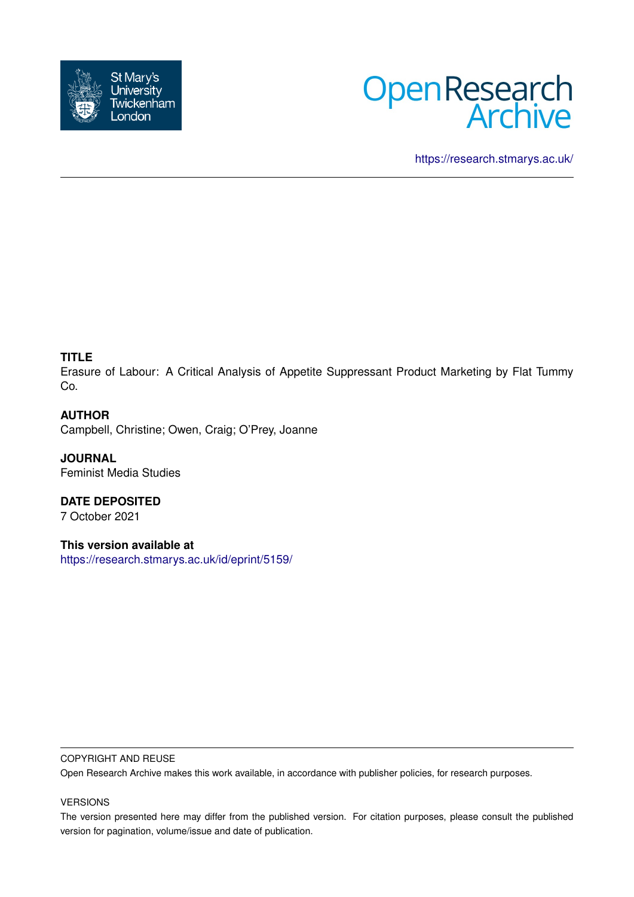



<https://research.stmarys.ac.uk/>

# **TITLE**

Erasure of Labour: A Critical Analysis of Appetite Suppressant Product Marketing by Flat Tummy Co.

# **AUTHOR**

Campbell, Christine; Owen, Craig; O'Prey, Joanne

**JOURNAL** Feminist Media Studies

**DATE DEPOSITED** 7 October 2021

**This version available at** <https://research.stmarys.ac.uk/id/eprint/5159/>

### COPYRIGHT AND REUSE

Open Research Archive makes this work available, in accordance with publisher policies, for research purposes.

# VERSIONS

The version presented here may differ from the published version. For citation purposes, please consult the published version for pagination, volume/issue and date of publication.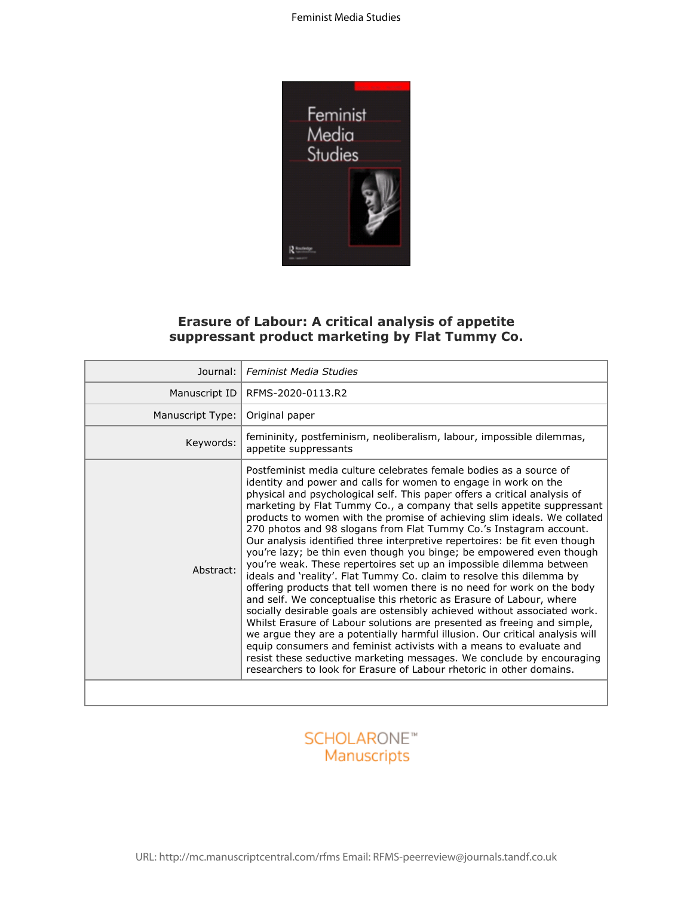

# **Erasure of Labour: A critical analysis of appetite suppressant product marketing by Flat Tummy Co.**

| <b>Erasure of Labour: A critical analysis of appetite</b><br>suppressant product marketing by Flat Tummy Co. |                                                                                                                                                                                                                                                                                                                                                                                                                                                                                                                                                                                                                                                                                                                                                                                                                                                                                                                                                                                                                                                                                                                                                                                                                                                                                                                                                                         |  |  |  |
|--------------------------------------------------------------------------------------------------------------|-------------------------------------------------------------------------------------------------------------------------------------------------------------------------------------------------------------------------------------------------------------------------------------------------------------------------------------------------------------------------------------------------------------------------------------------------------------------------------------------------------------------------------------------------------------------------------------------------------------------------------------------------------------------------------------------------------------------------------------------------------------------------------------------------------------------------------------------------------------------------------------------------------------------------------------------------------------------------------------------------------------------------------------------------------------------------------------------------------------------------------------------------------------------------------------------------------------------------------------------------------------------------------------------------------------------------------------------------------------------------|--|--|--|
| Journal:                                                                                                     | <b>Feminist Media Studies</b>                                                                                                                                                                                                                                                                                                                                                                                                                                                                                                                                                                                                                                                                                                                                                                                                                                                                                                                                                                                                                                                                                                                                                                                                                                                                                                                                           |  |  |  |
| Manuscript ID                                                                                                | RFMS-2020-0113.R2                                                                                                                                                                                                                                                                                                                                                                                                                                                                                                                                                                                                                                                                                                                                                                                                                                                                                                                                                                                                                                                                                                                                                                                                                                                                                                                                                       |  |  |  |
| Manuscript Type:                                                                                             | Original paper                                                                                                                                                                                                                                                                                                                                                                                                                                                                                                                                                                                                                                                                                                                                                                                                                                                                                                                                                                                                                                                                                                                                                                                                                                                                                                                                                          |  |  |  |
| Keywords:                                                                                                    | femininity, postfeminism, neoliberalism, labour, impossible dilemmas,<br>appetite suppressants                                                                                                                                                                                                                                                                                                                                                                                                                                                                                                                                                                                                                                                                                                                                                                                                                                                                                                                                                                                                                                                                                                                                                                                                                                                                          |  |  |  |
| Abstract:                                                                                                    | Postfeminist media culture celebrates female bodies as a source of<br>identity and power and calls for women to engage in work on the<br>physical and psychological self. This paper offers a critical analysis of<br>marketing by Flat Tummy Co., a company that sells appetite suppressant<br>products to women with the promise of achieving slim ideals. We collated<br>270 photos and 98 slogans from Flat Tummy Co.'s Instagram account.<br>Our analysis identified three interpretive repertoires: be fit even though<br>you're lazy; be thin even though you binge; be empowered even though<br>you're weak. These repertoires set up an impossible dilemma between<br>ideals and 'reality'. Flat Tummy Co. claim to resolve this dilemma by<br>offering products that tell women there is no need for work on the body<br>and self. We conceptualise this rhetoric as Erasure of Labour, where<br>socially desirable goals are ostensibly achieved without associated work.<br>Whilst Erasure of Labour solutions are presented as freeing and simple,<br>we argue they are a potentially harmful illusion. Our critical analysis will<br>equip consumers and feminist activists with a means to evaluate and<br>resist these seductive marketing messages. We conclude by encouraging<br>researchers to look for Erasure of Labour rhetoric in other domains. |  |  |  |
|                                                                                                              |                                                                                                                                                                                                                                                                                                                                                                                                                                                                                                                                                                                                                                                                                                                                                                                                                                                                                                                                                                                                                                                                                                                                                                                                                                                                                                                                                                         |  |  |  |

# **SCHOLARONE™** Manuscripts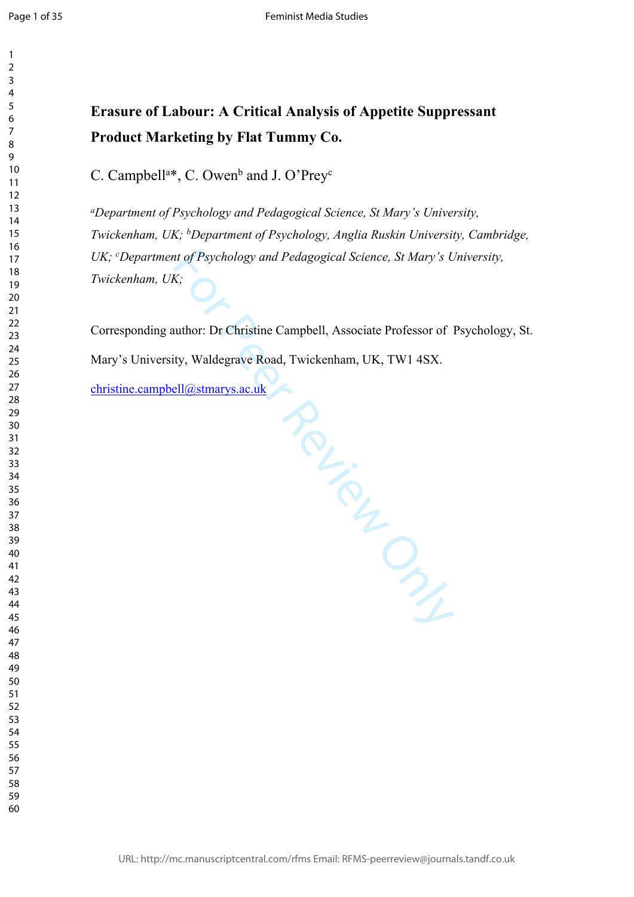$\mathbf{1}$ 

#### $\overline{2}$  $\overline{3}$  $\overline{4}$  $\overline{7}$

# **Erasure of Labour: A Critical Analysis of Appetite Suppressant Product Marketing by Flat Tummy Co.**

C. Campbell<sup>a\*</sup>, C. Owen<sup>b</sup> and J. O'Prey<sup>c</sup>

*<sup>a</sup>Department of Psychology and Pedagogical Science, St Mary's University, Twickenham, UK; <sup>b</sup>Department of Psychology, Anglia Ruskin University, Cambridge, UK; <sup>c</sup>Department of Psychology and Pedagogical Science, St Mary's University, Twickenham, UK;*

Corresponding author: Dr Christine Campbell, Associate Professor of Psychology, St. Mary's University, Waldegrave Road, Twickenham, UK, TW1 4SX.

Manuscript Creek [christine.campbell@stmarys.ac.uk](mailto:christine.campbell@stmarys.ac.uk)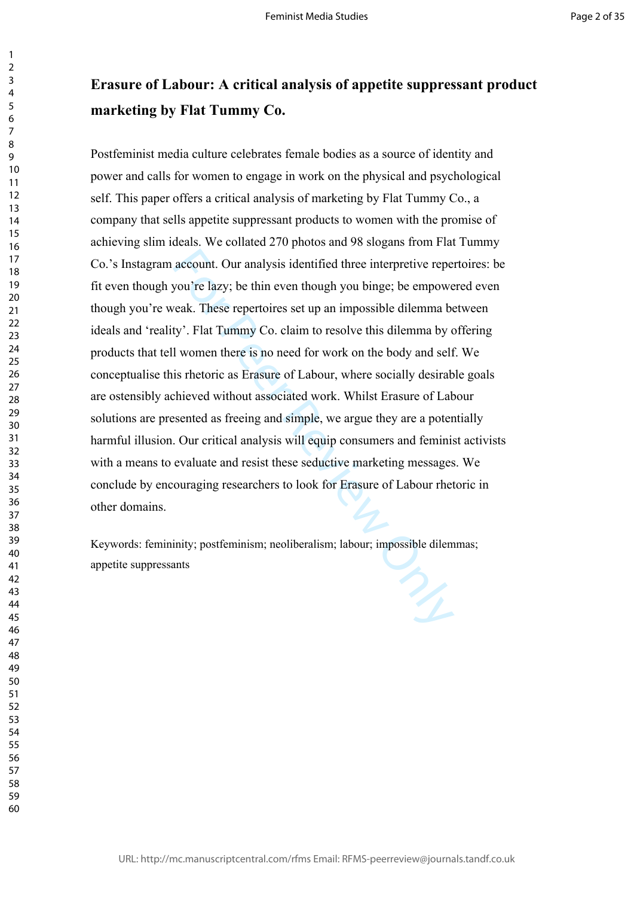# **Erasure of Labour: A critical analysis of appetite suppressant product marketing by Flat Tummy Co.**

account. Our analysis identified three interpretive repe<br>you're lazy; be thin even though you binge; be empowe<br>eak. These repertoires set up an impossible dilemma by<br>ty'. Flat Tummy Co. claim to resolve this dilemma by of<br> Postfeminist media culture celebrates female bodies as a source of identity and power and calls for women to engage in work on the physical and psychological self. This paper offers a critical analysis of marketing by Flat Tummy Co., a company that sells appetite suppressant products to women with the promise of achieving slim ideals. We collated 270 photos and 98 slogans from Flat Tummy Co.'s Instagram account. Our analysis identified three interpretive repertoires: be fit even though you're lazy; be thin even though you binge; be empowered even though you're weak. These repertoires set up an impossible dilemma between ideals and 'reality'. Flat Tummy Co. claim to resolve this dilemma by offering products that tell women there is no need for work on the body and self. We conceptualise this rhetoric as Erasure of Labour, where socially desirable goals are ostensibly achieved without associated work. Whilst Erasure of Labour solutions are presented as freeing and simple, we argue they are a potentially harmful illusion. Our critical analysis will equip consumers and feminist activists with a means to evaluate and resist these seductive marketing messages. We conclude by encouraging researchers to look for Erasure of Labour rhetoric in other domains.

Keywords: femininity; postfeminism; neoliberalism; labour; impossible dilemmas; appetite suppressants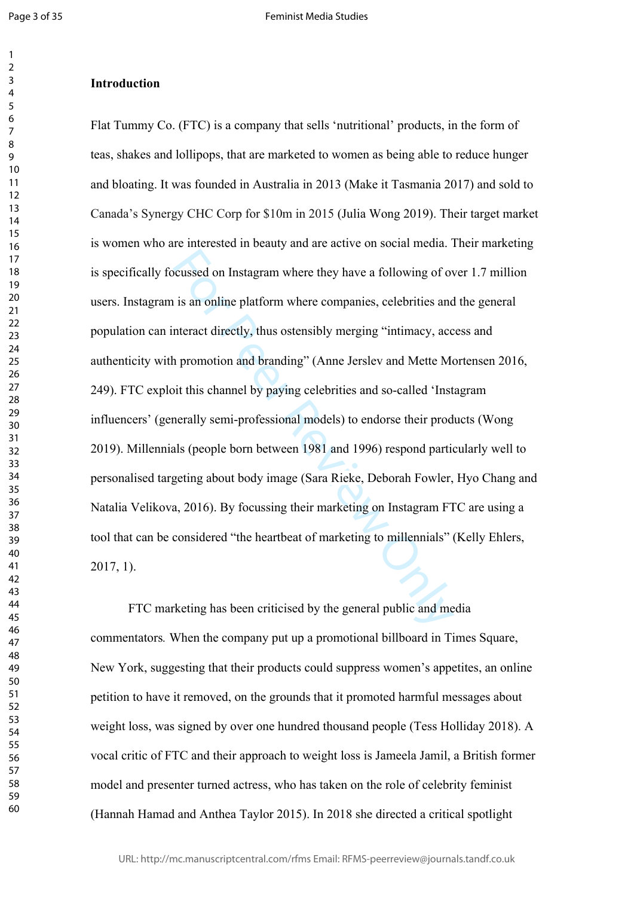$\mathbf{1}$  $\overline{2}$  $\overline{3}$  $\overline{4}$  $\overline{7}$ 

#### **Introduction**

between the method where they have a following of our is an online platform where companies, celebrities and the metract directly, thus ostensibly merging "intimacy, acc a promotion and branding" (Anne Jerslev and Mette Me Flat Tummy Co. (FTC) is a company that sells 'nutritional' products, in the form of teas, shakes and lollipops, that are marketed to women as being able to reduce hunger and bloating. It was founded in Australia in 2013 (Make it Tasmania 2017) and sold to Canada's Synergy CHC Corp for \$10m in 2015 (Julia Wong 2019). Their target market is women who are interested in beauty and are active on social media. Their marketing is specifically focussed on Instagram where they have a following of over 1.7 million users. Instagram is an online platform where companies, celebrities and the general population can interact directly, thus ostensibly merging "intimacy, access and authenticity with promotion and branding" (Anne Jerslev and Mette Mortensen 2016, 249). FTC exploit this channel by paying celebrities and so-called 'Instagram influencers' (generally semi-professional models) to endorse their products (Wong 2019). Millennials (people born between 1981 and 1996) respond particularly well to personalised targeting about body image (Sara Rieke, Deborah Fowler, Hyo Chang and Natalia Velikova, 2016). By focussing their marketing on Instagram FTC are using a tool that can be considered "the heartbeat of marketing to millennials" (Kelly Ehlers, 2017, 1).

FTC marketing has been criticised by the general public and media commentators*.* When the company put up a promotional billboard in Times Square, New York, suggesting that their products could suppress women's appetites, an online petition to have it removed, on the grounds that it promoted harmful messages about weight loss, was signed by over one hundred thousand people (Tess Holliday 2018). A vocal critic of FTC and their approach to weight loss is Jameela Jamil, a British former model and presenter turned actress, who has taken on the role of celebrity feminist (Hannah Hamad and Anthea Taylor 2015). In 2018 she directed a critical spotlight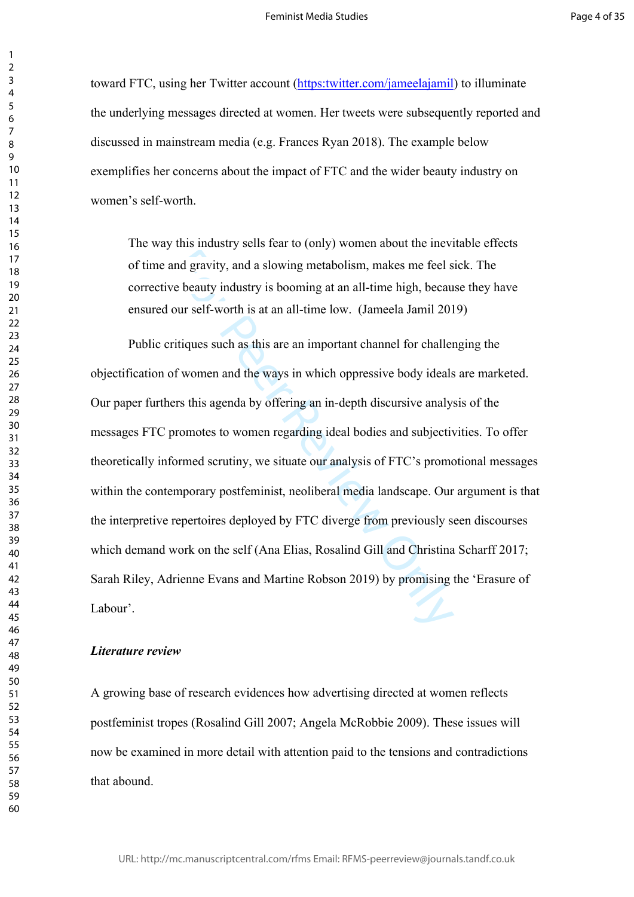toward FTC, using her Twitter account [\(https:twitter.com/jameelajamil](https://twitter.com/jameelajamil)) to illuminate the underlying messages directed at women. Her tweets were subsequently reported and discussed in mainstream media (e.g. Frances Ryan 2018). The example below exemplifies her concerns about the impact of FTC and the wider beauty industry on women's self-worth.

The way this industry sells fear to (only) women about the inevitable effects of time and gravity, and a slowing metabolism, makes me feel sick. The corrective beauty industry is booming at an all-time high, because they have ensured our self-worth is at an all-time low. (Jameela Jamil 2019)

and gravity, and a slowing metabolism, makes me feel s<br>
be beauty industry is booming at an all-time high, becau<br>
beauty industry is booming at an all-time high, becau<br>
our self-worth is at an all-time low. (Jameela Jamil Public critiques such as this are an important channel for challenging the objectification of women and the ways in which oppressive body ideals are marketed. Our paper furthers this agenda by offering an in-depth discursive analysis of the messages FTC promotes to women regarding ideal bodies and subjectivities. To offer theoretically informed scrutiny, we situate our analysis of FTC's promotional messages within the contemporary postfeminist, neoliberal media landscape. Our argument is that the interpretive repertoires deployed by FTC diverge from previously seen discourses which demand work on the self (Ana Elias, Rosalind Gill and Christina Scharff 2017; Sarah Riley, Adrienne Evans and Martine Robson 2019) by promising the 'Erasure of Labour'.

#### *Literature review*

A growing base of research evidences how advertising directed at women reflects postfeminist tropes (Rosalind Gill 2007; Angela McRobbie 2009). These issues will now be examined in more detail with attention paid to the tensions and contradictions that abound.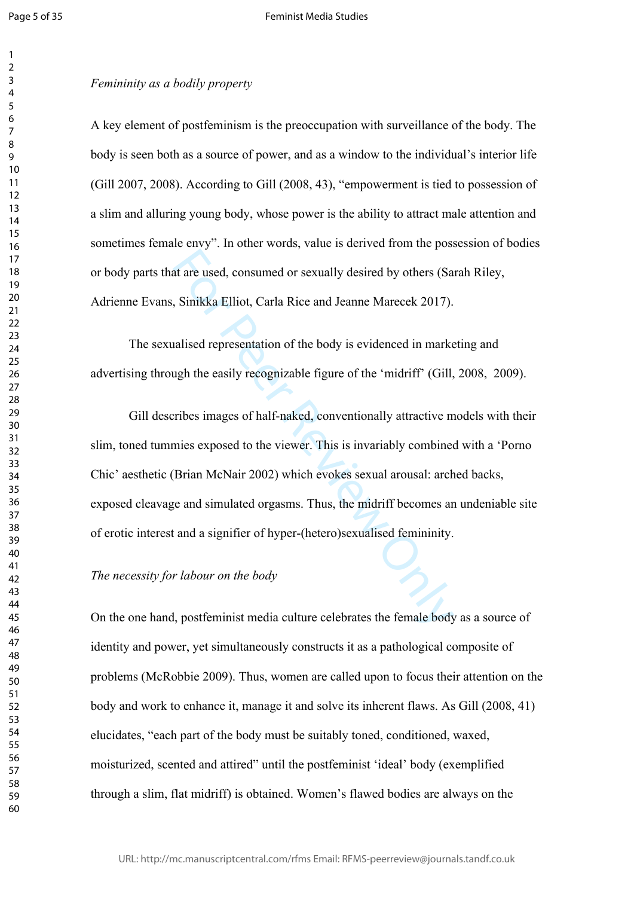$\mathbf{1}$  $\overline{2}$  $\overline{3}$  $\overline{4}$  $\overline{7}$ 

#### *Femininity as a bodily property*

A key element of postfeminism is the preoccupation with surveillance of the body. The body is seen both as a source of power, and as a window to the individual's interior life (Gill 2007, 2008). According to Gill (2008, 43), "empowerment is tied to possession of a slim and alluring young body, whose power is the ability to attract male attention and sometimes female envy". In other words, value is derived from the possession of bodies or body parts that are used, consumed or sexually desired by others (Sarah Riley, Adrienne Evans, Sinikka Elliot, Carla Rice and Jeanne Marecek 2017).

The sexualised representation of the body is evidenced in marketing and advertising through the easily recognizable figure of the 'midriff' (Gill, 2008, 2009).

at are used, consumed or sexually desired by others (Sa<br>
5. Sinikka Elliot, Carla Rice and Jeanne Marecek 2017).<br>
Halised representation of the body is evidenced in mark<br>
ugh the easily recognizable figure of the 'midriff' Gill describes images of half-naked, conventionally attractive models with their slim, toned tummies exposed to the viewer. This is invariably combined with a 'Porno Chic' aesthetic (Brian McNair 2002) which evokes sexual arousal: arched backs, exposed cleavage and simulated orgasms. Thus, the midriff becomes an undeniable site of erotic interest and a signifier of hyper-(hetero)sexualised femininity.

### *The necessity for labour on the body*

On the one hand, postfeminist media culture celebrates the female body as a source of identity and power, yet simultaneously constructs it as a pathological composite of problems (McRobbie 2009). Thus, women are called upon to focus their attention on the body and work to enhance it, manage it and solve its inherent flaws. As Gill (2008, 41) elucidates, "each part of the body must be suitably toned, conditioned, waxed, moisturized, scented and attired" until the postfeminist 'ideal' body (exemplified through a slim, flat midriff) is obtained. Women's flawed bodies are always on the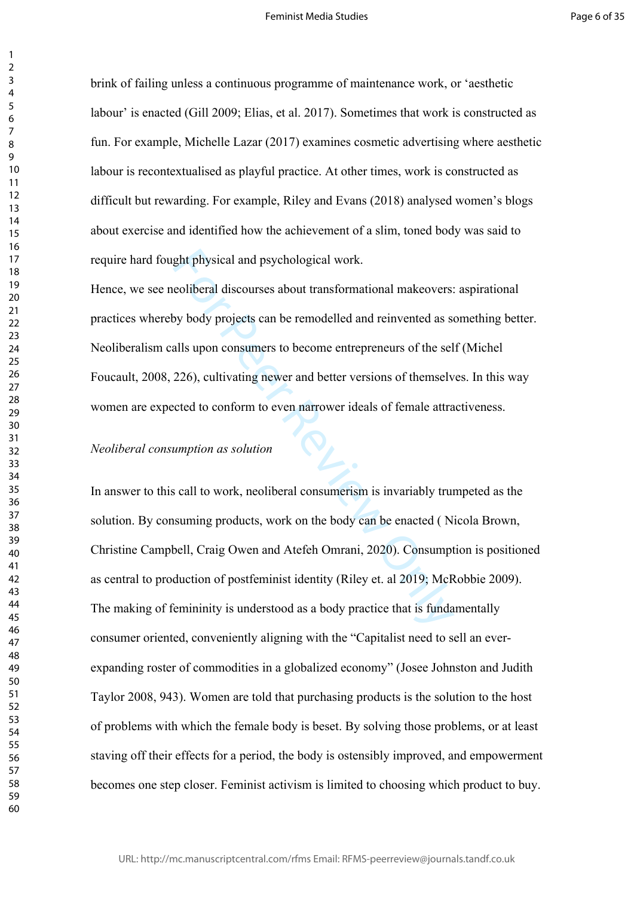brink of failing unless a continuous programme of maintenance work, or 'aesthetic labour' is enacted (Gill 2009; Elias, et al. 2017). Sometimes that work is constructed as fun. For example, Michelle Lazar (2017) examines cosmetic advertising where aesthetic labour is recontextualised as playful practice. At other times, work is constructed as difficult but rewarding. For example, Riley and Evans (2018) analysed women's blogs about exercise and identified how the achievement of a slim, toned body was said to require hard fought physical and psychological work.

Hence, we see neoliberal discourses about transformational makeovers: aspirational practices whereby body projects can be remodelled and reinvented as something better. Neoliberalism calls upon consumers to become entrepreneurs of the self (Michel Foucault, 2008, 226), cultivating newer and better versions of themselves. In this way women are expected to conform to even narrower ideals of female attractiveness.

# *Neoliberal consumption as solution*

ght physical and psychological work.<br>
eoliberal discourses about transformational makeovers.<br>
by body projects can be remodelled and reinvented as s<br>
alls upon consumers to become entrepreneurs of the sel<br>
226), cultivatin In answer to this call to work, neoliberal consumerism is invariably trumpeted as the solution. By consuming products, work on the body can be enacted ( Nicola Brown, Christine Campbell, Craig Owen and Atefeh Omrani, 2020). Consumption is positioned as central to production of postfeminist identity (Riley et. al 2019; McRobbie 2009). The making of femininity is understood as a body practice that is fundamentally consumer oriented, conveniently aligning with the "Capitalist need to sell an everexpanding roster of commodities in a globalized economy" (Josee Johnston and Judith Taylor 2008, 943). Women are told that purchasing products is the solution to the host of problems with which the female body is beset. By solving those problems, or at least staving off their effects for a period, the body is ostensibly improved, and empowerment becomes one step closer. Feminist activism is limited to choosing which product to buy.

 $\mathbf{1}$  $\overline{2}$  $\overline{3}$  $\overline{4}$  $\overline{7}$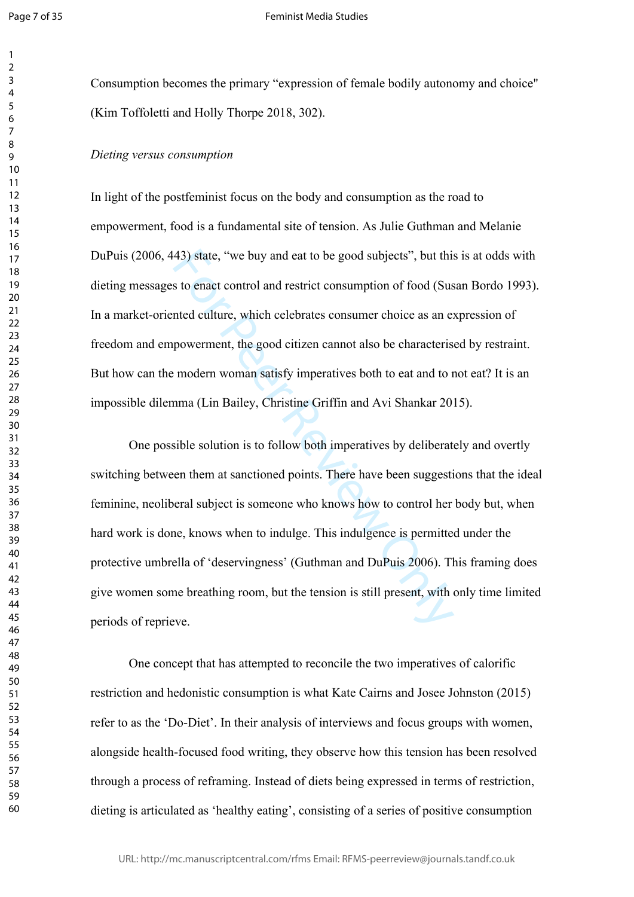$\mathbf{1}$  $\overline{2}$  $\overline{3}$  $\overline{4}$  $\overline{7}$  $\mathsf{Q}$ 

Consumption becomes the primary "expression of female bodily autonomy and choice" (Kim Toffoletti and Holly Thorpe 2018, 302).

#### *Dieting versus consumption*

In light of the postfeminist focus on the body and consumption as the road to empowerment, food is a fundamental site of tension. As Julie Guthman and Melanie DuPuis (2006, 443) state, "we buy and eat to be good subjects", but this is at odds with dieting messages to enact control and restrict consumption of food (Susan Bordo 1993). In a market-oriented culture, which celebrates consumer choice as an expression of freedom and empowerment, the good citizen cannot also be characterised by restraint. But how can the modern woman satisfy imperatives both to eat and to not eat? It is an impossible dilemma (Lin Bailey, Christine Griffin and Avi Shankar 2015).

43) state, "we buy and eat to be good subjects", but this s to enact control and restrict consumption of food (Sus nted culture, which celebrates consumer choice as an expowerment, the good citizen cannot also be character One possible solution is to follow both imperatives by deliberately and overtly switching between them at sanctioned points. There have been suggestions that the ideal feminine, neoliberal subject is someone who knows how to control her body but, when hard work is done, knows when to indulge. This indulgence is permitted under the protective umbrella of 'deservingness' (Guthman and DuPuis 2006). This framing does give women some breathing room, but the tension is still present, with only time limited periods of reprieve.

One concept that has attempted to reconcile the two imperatives of calorific restriction and hedonistic consumption is what Kate Cairns and Josee Johnston (2015) refer to as the 'Do-Diet'. In their analysis of interviews and focus groups with women, alongside health-focused food writing, they observe how this tension has been resolved through a process of reframing. Instead of diets being expressed in terms of restriction, dieting is articulated as 'healthy eating', consisting of a series of positive consumption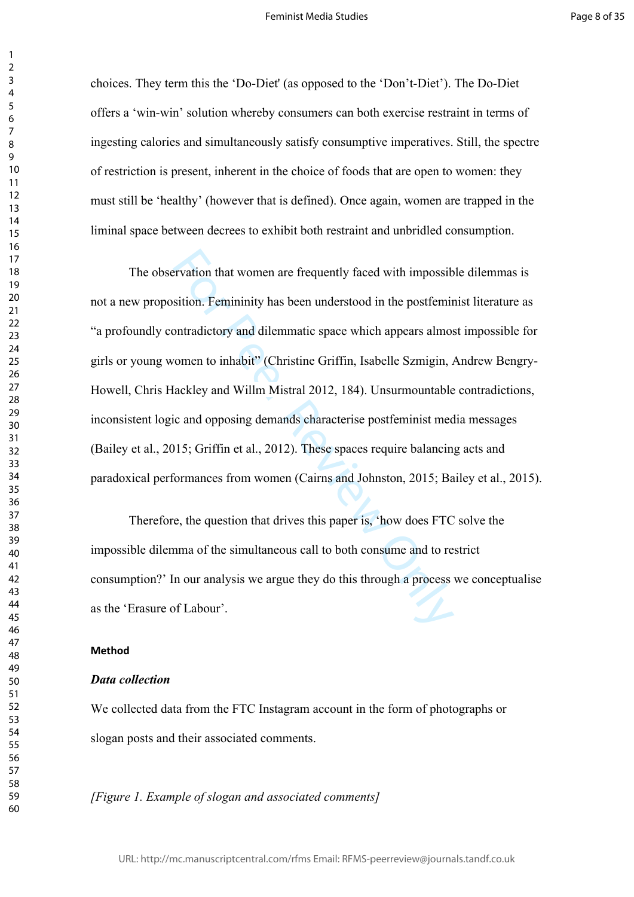choices. They term this the 'Do-Diet' (as opposed to the 'Don't-Diet'). The Do-Diet offers a 'win-win' solution whereby consumers can both exercise restraint in terms of ingesting calories and simultaneously satisfy consumptive imperatives. Still, the spectre of restriction is present, inherent in the choice of foods that are open to women: they must still be 'healthy' (however that is defined). Once again, women are trapped in the liminal space between decrees to exhibit both restraint and unbridled consumption.

Exercision that women are frequently faced with impossib-<br>sition. Femininity has been understood in the postfemin<br>ontradictory and dilemmatic space which appears almo:<br>omen to inhabit'' (Christine Griffin, Isabelle Szmigin The observation that women are frequently faced with impossible dilemmas is not a new proposition. Femininity has been understood in the postfeminist literature as "a profoundly contradictory and dilemmatic space which appears almost impossible for girls or young women to inhabit" (Christine Griffin, Isabelle Szmigin, Andrew Bengry-Howell, Chris Hackley and Willm Mistral 2012, 184). Unsurmountable contradictions, inconsistent logic and opposing demands characterise postfeminist media messages (Bailey et al., 2015; Griffin et al., 2012). These spaces require balancing acts and paradoxical performances from women (Cairns and Johnston, 2015; Bailey et al., 2015).

Therefore, the question that drives this paper is, 'how does FTC solve the impossible dilemma of the simultaneous call to both consume and to restrict consumption?' In our analysis we argue they do this through a process we conceptualise as the 'Erasure of Labour'.

#### **Method**

## *Data collection*

We collected data from the FTC Instagram account in the form of photographs or slogan posts and their associated comments.

*[Figure 1. Example of slogan and associated comments]*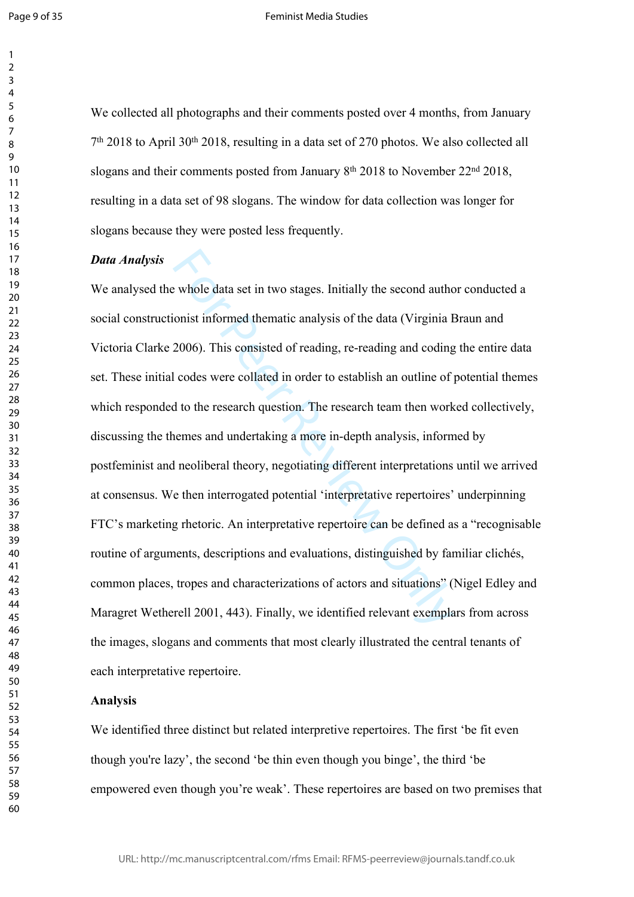$\mathbf{1}$ 

#### Feminist Media Studies

We collected all photographs and their comments posted over 4 months, from January<br>7<sup>th</sup> 2018 to April 30<sup>th</sup> 2018, resulting in a data set of 270 photos. We also collected all slogans and their comments posted from January 8<sup>th</sup> 2018 to November 22<sup>nd</sup> 2018, resulting in a data set of 98 slogans. The window for data collection was longer for slogans because they were posted less frequently.

#### *Data Analysis*

e whole data set in two stages. Initially the second authorist informed thematic analysis of the data (Virginia I 2006). This consisted of reading, re-reading and coding codes were collated in order to establish an outline We analysed the whole data set in two stages. Initially the second author conducted a social constructionist informed thematic analysis of the data (Virginia Braun and Victoria Clarke 2006). This consisted of reading, re-reading and coding the entire data set. These initial codes were collated in order to establish an outline of potential themes which responded to the research question. The research team then worked collectively, discussing the themes and undertaking a more in-depth analysis, informed by postfeminist and neoliberal theory, negotiating different interpretations until we arrived at consensus. We then interrogated potential 'interpretative repertoires' underpinning FTC's marketing rhetoric. An interpretative repertoire can be defined as a "recognisable routine of arguments, descriptions and evaluations, distinguished by familiar clichés, common places, tropes and characterizations of actors and situations" (Nigel Edley and Maragret Wetherell 2001, 443). Finally, we identified relevant exemplars from across the images, slogans and comments that most clearly illustrated the central tenants of each interpretative repertoire.

#### **Analysis**

We identified three distinct but related interpretive repertoires. The first 'be fit even though you're lazy', the second 'be thin even though you binge', the third 'be empowered even though you're weak'. These repertoires are based on two premises that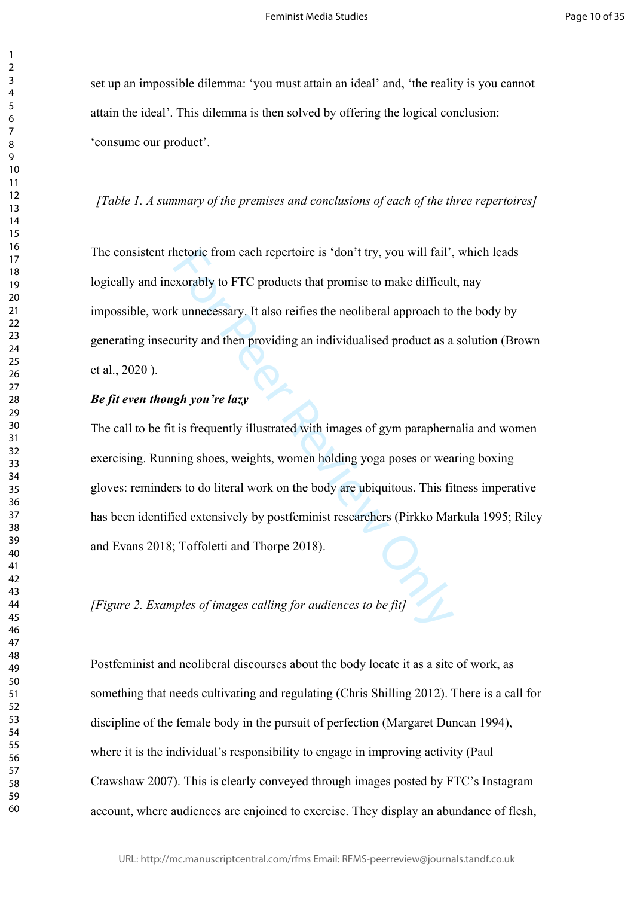set up an impossible dilemma: 'you must attain an ideal' and, 'the reality is you cannot attain the ideal'. This dilemma is then solved by offering the logical conclusion: 'consume our product'.

#### *[Table 1. A summary of the premises and conclusions of each of the three repertoires]*

The consistent rhetoric from each repertoire is 'don't try, you will fail', which leads logically and inexorably to FTC products that promise to make difficult, nay impossible, work unnecessary. It also reifies the neoliberal approach to the body by generating insecurity and then providing an individualised product as a solution (Brown et al., 2020 ).

# *Be fit even though you're lazy*

hetoric from each repertoire is 'don't try, you will fail',<br>exorably to FTC products that promise to make difficul<br>k unnecessary. It also reifies the neoliberal approach to<br>urity and then providing an individualised produc The call to be fit is frequently illustrated with images of gym paraphernalia and women exercising. Running shoes, weights, women holding yoga poses or wearing boxing gloves: reminders to do literal work on the body are ubiquitous. This fitness imperative has been identified extensively by postfeminist researchers (Pirkko Markula 1995; Riley and Evans 2018; Toffoletti and Thorpe 2018).

*[Figure 2. Examples of images calling for audiences to be fit]*

Postfeminist and neoliberal discourses about the body locate it as a site of work, as something that needs cultivating and regulating (Chris Shilling 2012). There is a call for discipline of the female body in the pursuit of perfection (Margaret Duncan 1994), where it is the individual's responsibility to engage in improving activity (Paul Crawshaw 2007). This is clearly conveyed through images posted by FTC's Instagram account, where audiences are enjoined to exercise. They display an abundance of flesh,

 $\mathbf{1}$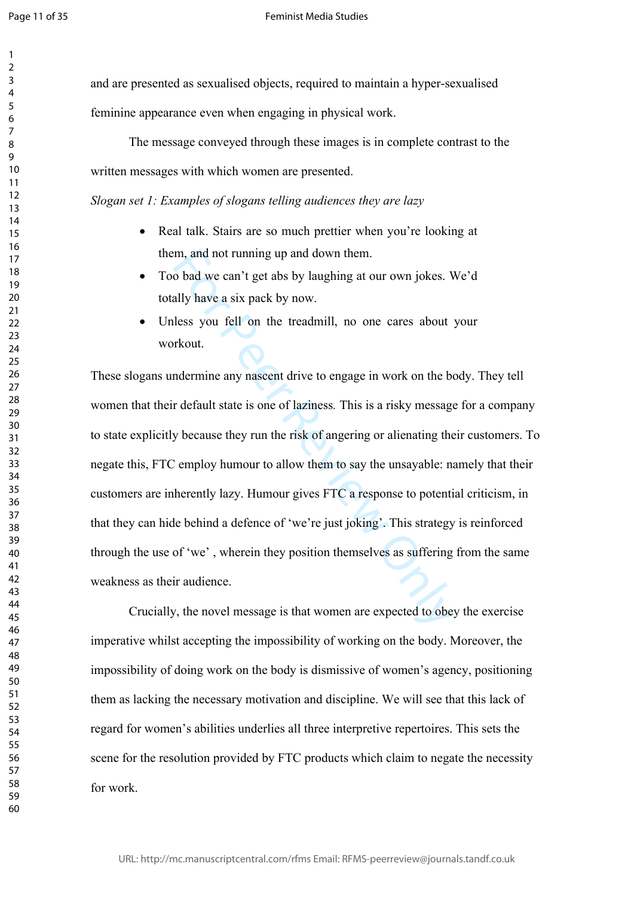$\mathbf{1}$  $\overline{2}$  $\overline{3}$  $\overline{4}$  $\overline{7}$  $\mathsf{Q}$ 

and are presented as sexualised objects, required to maintain a hyper-sexualised feminine appearance even when engaging in physical work.

The message conveyed through these images is in complete contrast to the written messages with which women are presented.

*Slogan set 1: Examples of slogans telling audiences they are lazy*

- Real talk. Stairs are so much prettier when you're looking at them, and not running up and down them.
- Too bad we can't get abs by laughing at our own jokes. We'd totally have a six pack by now.
- Unless you fell on the treadmill, no one cares about your workout.

m, and not running up and down them.<br>
o bad we can't get abs by laughing at our own jokes. V<br>
ally have a six pack by now.<br>
lless you fell on the treadmill, no one cares about<br>
rkout.<br>
mdermine any nascent drive to engage These slogans undermine any nascent drive to engage in work on the body. They tell women that their default state is one of laziness*.* This is a risky message for a company to state explicitly because they run the risk of angering or alienating their customers. To negate this, FTC employ humour to allow them to say the unsayable: namely that their customers are inherently lazy. Humour gives FTC a response to potential criticism, in that they can hide behind a defence of 'we're just joking'. This strategy is reinforced through the use of 'we' , wherein they position themselves as suffering from the same weakness as their audience.

Crucially, the novel message is that women are expected to obey the exercise imperative whilst accepting the impossibility of working on the body. Moreover, the impossibility of doing work on the body is dismissive of women's agency, positioning them as lacking the necessary motivation and discipline. We will see that this lack of regard for women's abilities underlies all three interpretive repertoires. This sets the scene for the resolution provided by FTC products which claim to negate the necessity for work.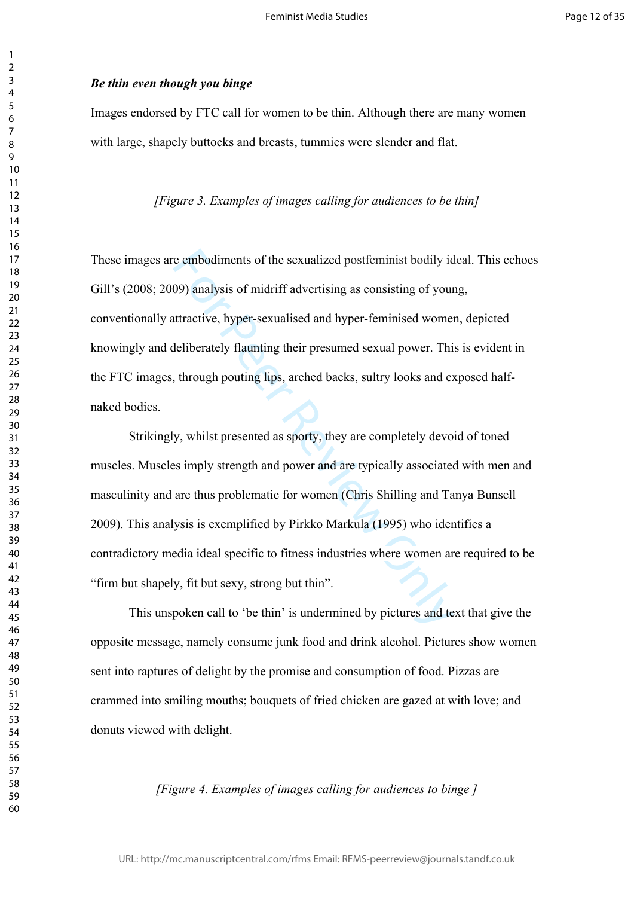## *Be thin even though you binge*

Images endorsed by FTC call for women to be thin. Although there are many women with large, shapely buttocks and breasts, tummies were slender and flat.

## *[Figure 3. Examples of images calling for audiences to be thin]*

These images are embodiments of the sexualized postfeminist bodily ideal. This echoes Gill's (2008; 2009) analysis of midriff advertising as consisting of young, conventionally attractive, hyper-sexualised and hyper-feminised women, depicted knowingly and deliberately flaunting their presumed sexual power. This is evident in the FTC images, through pouting lips, arched backs, sultry looks and exposed halfnaked bodies.

e embodiments of the sexualized postfeminist bodily io<br>
09) analysis of midriff advertising as consisting of your<br>
uttractive, hyper-sexualised and hyper-feminised wome<br>
leliberately flaunting their presumed sexual power. Strikingly, whilst presented as sporty, they are completely devoid of toned muscles. Muscles imply strength and power and are typically associated with men and masculinity and are thus problematic for women (Chris Shilling and Tanya Bunsell 2009). This analysis is exemplified by Pirkko Markula (1995) who identifies a contradictory media ideal specific to fitness industries where women are required to be "firm but shapely, fit but sexy, strong but thin".

This unspoken call to 'be thin' is undermined by pictures and text that give the opposite message, namely consume junk food and drink alcohol. Pictures show women sent into raptures of delight by the promise and consumption of food. Pizzas are crammed into smiling mouths; bouquets of fried chicken are gazed at with love; and donuts viewed with delight.

## *[Figure 4. Examples of images calling for audiences to binge ]*

 $\mathbf{1}$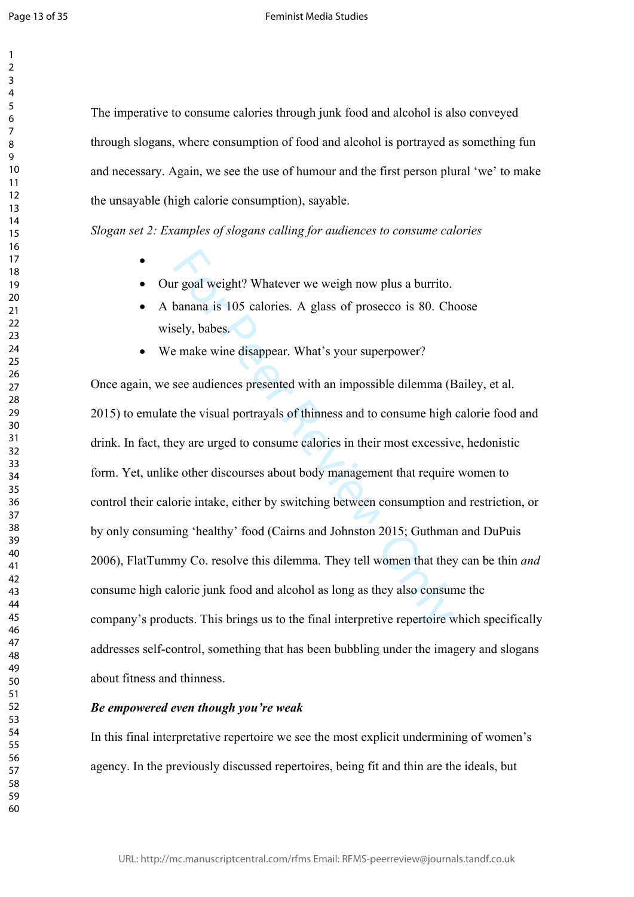$\mathbf{1}$  $\overline{2}$  $\overline{3}$  $\overline{4}$ 

The imperative to consume calories through junk food and alcohol is also conveyed through slogans, where consumption of food and alcohol is portrayed as something fun and necessary. Again, we see the use of humour and the first person plural 'we' to make the unsayable (high calorie consumption), sayable.

*Slogan set 2: Examples of slogans calling for audiences to consume calories*

- Our goal weight? Whatever we weigh now plus a burrito.
- A banana is 105 calories. A glass of prosecco is 80. Choose wisely, babes.
- We make wine disappear. What's your superpower?

In goal weight? Whatever we weigh now plus a burrito.<br>
banana is 105 calories. A glass of prosecco is 80. Ch<br>
sely, babes.<br>
e make wine disappear. What's your superpower?<br>
see audiences presented with an impossible dilemma Once again, we see audiences presented with an impossible dilemma (Bailey, et al. 2015) to emulate the visual portrayals of thinness and to consume high calorie food and drink. In fact, they are urged to consume calories in their most excessive, hedonistic form. Yet, unlike other discourses about body management that require women to control their calorie intake, either by switching between consumption and restriction, or by only consuming 'healthy' food (Cairns and Johnston 2015; Guthman and DuPuis 2006), FlatTummy Co. resolve this dilemma. They tell women that they can be thin *and* consume high calorie junk food and alcohol as long as they also consume the company's products. This brings us to the final interpretive repertoire which specifically addresses self-control, something that has been bubbling under the imagery and slogans about fitness and thinness.

## *Be empowered even though you're weak*

In this final interpretative repertoire we see the most explicit undermining of women's agency. In the previously discussed repertoires, being fit and thin are the ideals, but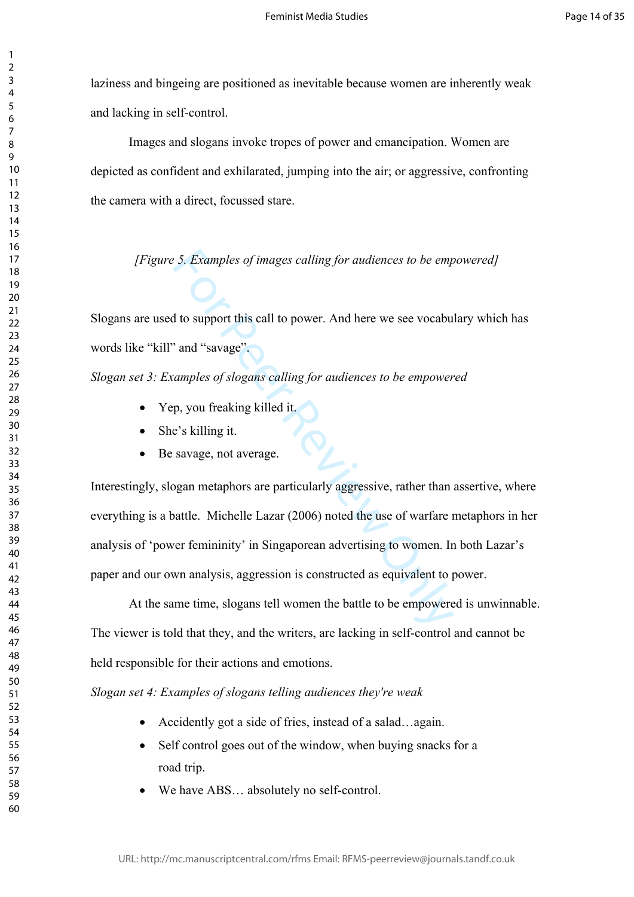laziness and bingeing are positioned as inevitable because women are inherently weak and lacking in self-control.

Images and slogans invoke tropes of power and emancipation. Women are depicted as confident and exhilarated, jumping into the air; or aggressive, confronting the camera with a direct, focussed stare.

*[Figure 5. Examples of images calling for audiences to be empowered]*

Slogans are used to support this call to power. And here we see vocabulary which has words like "kill" and "savage".

*Slogan set 3: Examples of slogans calling for audiences to be empowered*

- Yep, you freaking killed it.
- She's killing it.
- Be savage, not average.

For *Examples of images calling for audiences to be emp*<br>
It to support this call to power. And here we see vocabu<br>
<sup>1</sup> and "savage".<br>
<sup>2</sup> and "savage".<br> **2** and "savage".<br> **2** and "savage".<br> **2** and it is composed in the Interestingly, slogan metaphors are particularly aggressive, rather than assertive, where everything is a battle. Michelle Lazar (2006) noted the use of warfare metaphors in her analysis of 'power femininity' in Singaporean advertising to women. In both Lazar's paper and our own analysis, aggression is constructed as equivalent to power.

At the same time, slogans tell women the battle to be empowered is unwinnable. The viewer is told that they, and the writers, are lacking in self-control and cannot be held responsible for their actions and emotions.

*Slogan set 4: Examples of slogans telling audiences they're weak*

- Accidently got a side of fries, instead of a salad…again.
- Self control goes out of the window, when buying snacks for a road trip.
- We have ABS… absolutely no self-control.

 $\mathbf{1}$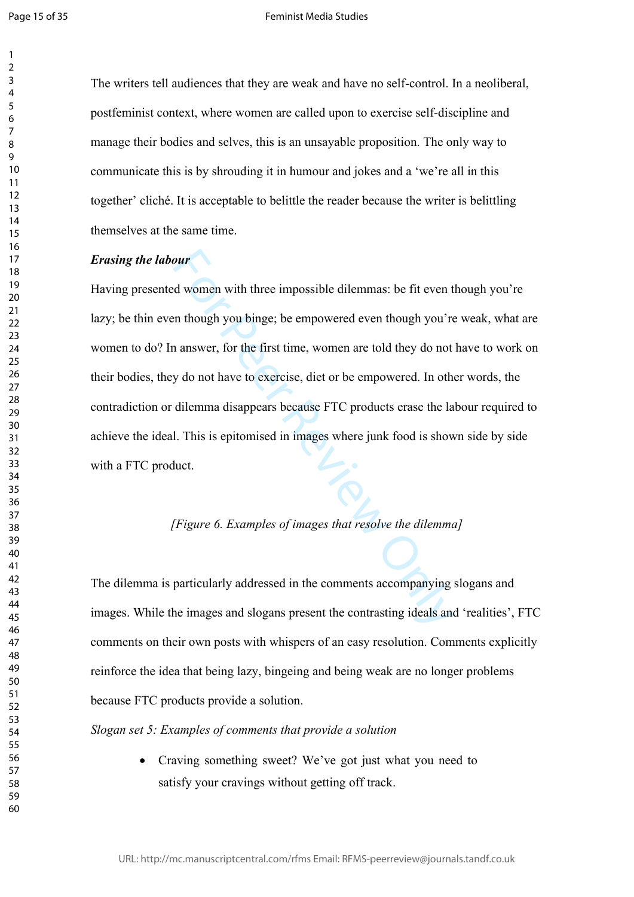$\mathbf{1}$ 

#### Feminist Media Studies

The writers tell audiences that they are weak and have no self-control. In a neoliberal, postfeminist context, where women are called upon to exercise self-discipline and manage their bodies and selves, this is an unsayable proposition. The only way to communicate this is by shrouding it in humour and jokes and a 'we're all in this together' cliché. It is acceptable to belittle the reader because the writer is belittling themselves at the same time.

#### *Erasing the labour*

**Solution**<br>
Solutionary with three impossible dilemmas: be fit even the unit of the unit of the member of the member of the member of the member of the member of the member of the dilemma disappears because FTC products er Having presented women with three impossible dilemmas: be fit even though you're lazy; be thin even though you binge; be empowered even though you're weak, what are women to do? In answer, for the first time, women are told they do not have to work on their bodies, they do not have to exercise, diet or be empowered. In other words, the contradiction or dilemma disappears because FTC products erase the labour required to achieve the ideal. This is epitomised in images where junk food is shown side by side with a FTC product.

# *[Figure 6. Examples of images that resolve the dilemma]*

The dilemma is particularly addressed in the comments accompanying slogans and images. While the images and slogans present the contrasting ideals and 'realities', FTC comments on their own posts with whispers of an easy resolution. Comments explicitly reinforce the idea that being lazy, bingeing and being weak are no longer problems because FTC products provide a solution.

*Slogan set 5: Examples of comments that provide a solution*

• Craving something sweet? We've got just what you need to satisfy your cravings without getting off track.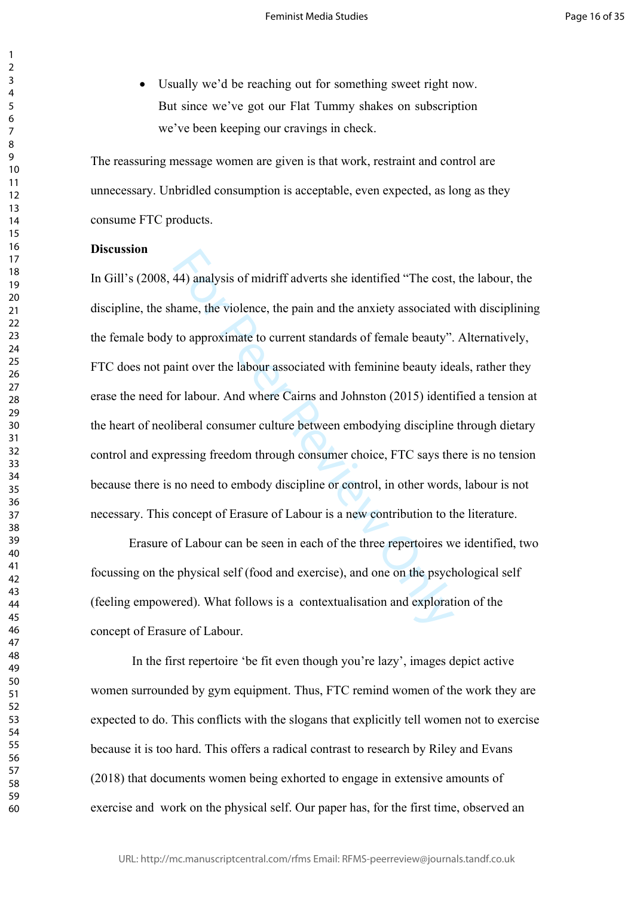Usually we'd be reaching out for something sweet right now. But since we've got our Flat Tummy shakes on subscription we've been keeping our cravings in check.

The reassuring message women are given is that work, restraint and control are unnecessary. Unbridled consumption is acceptable, even expected, as long as they consume FTC products.

# **Discussion**

44) analysis of midriff adverts she identified "The cost,<br>name, the violence, the pain and the anxiety associated<br>to approximate to current standards of female beauty".<br>int over the labour associated with feminine beauty i In Gill's (2008, 44) analysis of midriff adverts she identified "The cost, the labour, the discipline, the shame, the violence, the pain and the anxiety associated with disciplining the female body to approximate to current standards of female beauty". Alternatively, FTC does not paint over the labour associated with feminine beauty ideals, rather they erase the need for labour. And where Cairns and Johnston (2015) identified a tension at the heart of neoliberal consumer culture between embodying discipline through dietary control and expressing freedom through consumer choice, FTC says there is no tension because there is no need to embody discipline or control, in other words, labour is not necessary. This concept of Erasure of Labour is a new contribution to the literature.

Erasure of Labour can be seen in each of the three repertoires we identified, two focussing on the physical self (food and exercise), and one on the psychological self (feeling empowered). What follows is a contextualisation and exploration of the concept of Erasure of Labour.

 In the first repertoire 'be fit even though you're lazy', images depict active women surrounded by gym equipment. Thus, FTC remind women of the work they are expected to do. This conflicts with the slogans that explicitly tell women not to exercise because it is too hard. This offers a radical contrast to research by Riley and Evans (2018) that documents women being exhorted to engage in extensive amounts of exercise and work on the physical self. Our paper has, for the first time, observed an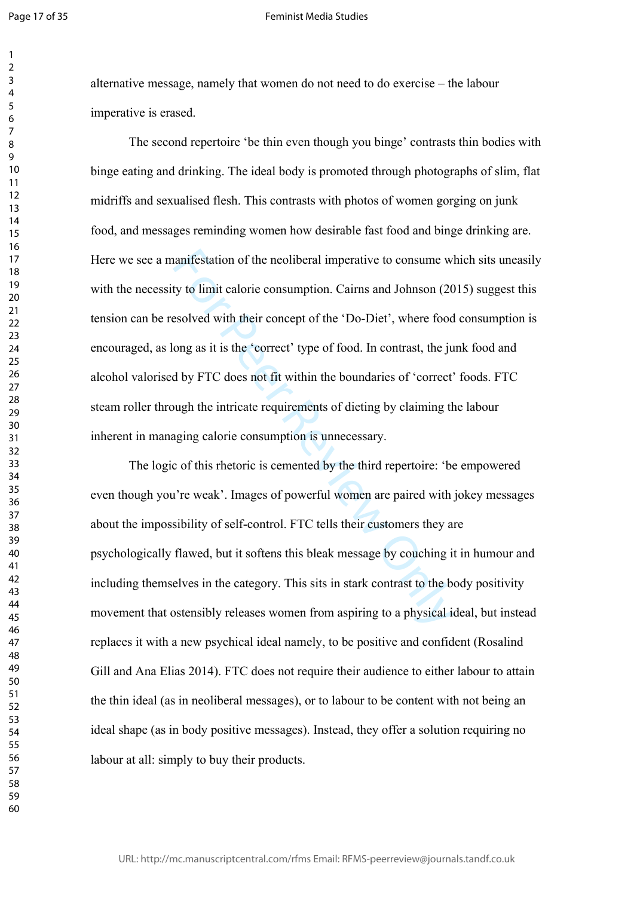$\mathbf{1}$  $\overline{2}$  $\overline{3}$  $\overline{4}$  $\overline{7}$ 

#### Feminist Media Studies

alternative message, namely that women do not need to do exercise – the labour imperative is erased.

aanifestation of the neoliberal imperative to consume w<br>ty to limit calorie consumption. Cairns and Johnson (20<br>esolved with their concept of the 'Do-Diet', where food<br>ong as it is the 'correct' type of food. In contrast, The second repertoire 'be thin even though you binge' contrasts thin bodies with binge eating and drinking. The ideal body is promoted through photographs of slim, flat midriffs and sexualised flesh. This contrasts with photos of women gorging on junk food, and messages reminding women how desirable fast food and binge drinking are. Here we see a manifestation of the neoliberal imperative to consume which sits uneasily with the necessity to limit calorie consumption. Cairns and Johnson (2015) suggest this tension can be resolved with their concept of the 'Do-Diet', where food consumption is encouraged, as long as it is the 'correct' type of food. In contrast, the junk food and alcohol valorised by FTC does not fit within the boundaries of 'correct' foods. FTC steam roller through the intricate requirements of dieting by claiming the labour inherent in managing calorie consumption is unnecessary.

The logic of this rhetoric is cemented by the third repertoire: 'be empowered even though you're weak'. Images of powerful women are paired with jokey messages about the impossibility of self-control. FTC tells their customers they are psychologically flawed, but it softens this bleak message by couching it in humour and including themselves in the category. This sits in stark contrast to the body positivity movement that ostensibly releases women from aspiring to a physical ideal, but instead replaces it with a new psychical ideal namely, to be positive and confident (Rosalind Gill and Ana Elias 2014). FTC does not require their audience to either labour to attain the thin ideal (as in neoliberal messages), or to labour to be content with not being an ideal shape (as in body positive messages). Instead, they offer a solution requiring no labour at all: simply to buy their products.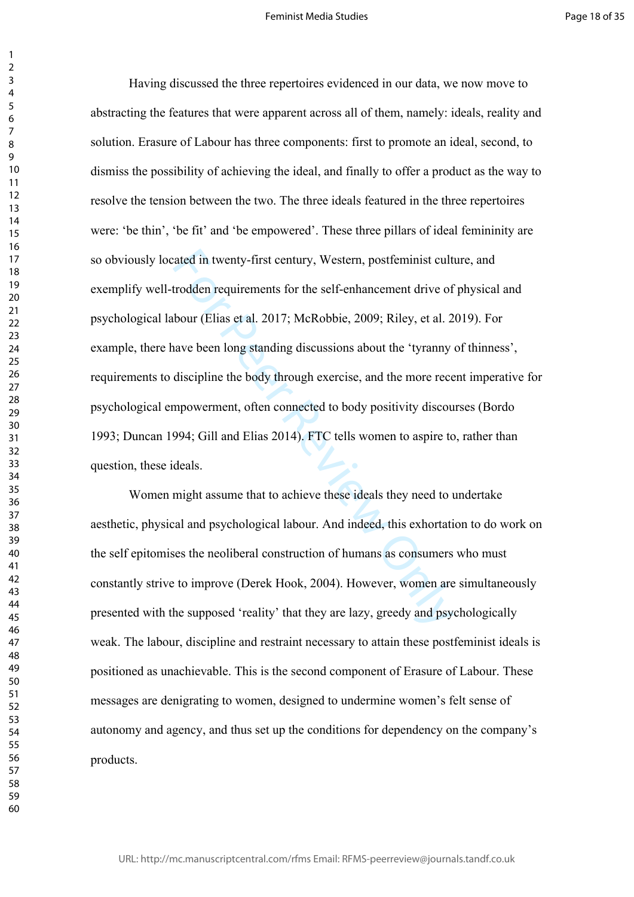rated in twenty-first century, Western, postfeminist cult<br>trodden requirements for the self-enhancement drive of<br>bour (Elias et al. 2017; McRobbie, 2009; Riley, et al. 2<br>have been long standing discussions about the 'tyran Having discussed the three repertoires evidenced in our data, we now move to abstracting the features that were apparent across all of them, namely: ideals, reality and solution. Erasure of Labour has three components: first to promote an ideal, second, to dismiss the possibility of achieving the ideal, and finally to offer a product as the way to resolve the tension between the two. The three ideals featured in the three repertoires were: 'be thin', 'be fit' and 'be empowered'. These three pillars of ideal femininity are so obviously located in twenty-first century, Western, postfeminist culture, and exemplify well-trodden requirements for the self-enhancement drive of physical and psychological labour (Elias et al. 2017; McRobbie, 2009; Riley, et al. 2019). For example, there have been long standing discussions about the 'tyranny of thinness', requirements to discipline the body through exercise, and the more recent imperative for psychological empowerment, often connected to body positivity discourses (Bordo 1993; Duncan 1994; Gill and Elias 2014). FTC tells women to aspire to, rather than question, these ideals.

Women might assume that to achieve these ideals they need to undertake aesthetic, physical and psychological labour. And indeed, this exhortation to do work on the self epitomises the neoliberal construction of humans as consumers who must constantly strive to improve (Derek Hook, 2004). However, women are simultaneously presented with the supposed 'reality' that they are lazy, greedy and psychologically weak. The labour, discipline and restraint necessary to attain these postfeminist ideals is positioned as unachievable. This is the second component of Erasure of Labour. These messages are denigrating to women, designed to undermine women's felt sense of autonomy and agency, and thus set up the conditions for dependency on the company's products.

 $\mathbf{1}$  $\overline{2}$  $\overline{3}$  $\overline{4}$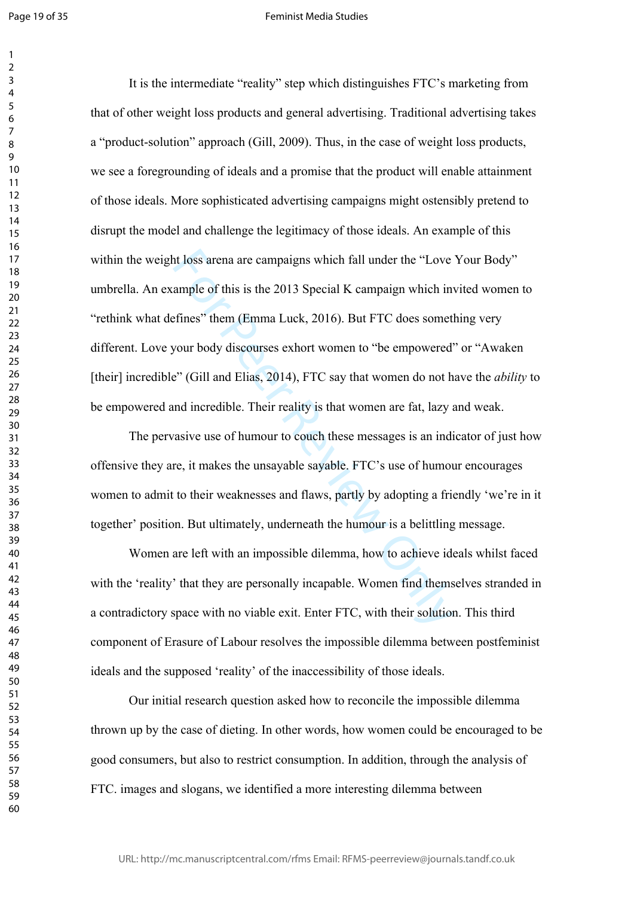$\mathbf{1}$  $\overline{2}$ 

#### Feminist Media Studies

at loss arena are campaigns which fall under the "Love ample of this is the 2013 Special K campaign which in effines" them (Emma Luck, 2016). But FTC does somet your body discourses exhort women to "be empowered" e" (Gill It is the intermediate "reality" step which distinguishes FTC's marketing from that of other weight loss products and general advertising. Traditional advertising takes a "product-solution" approach (Gill, 2009). Thus, in the case of weight loss products, we see a foregrounding of ideals and a promise that the product will enable attainment of those ideals. More sophisticated advertising campaigns might ostensibly pretend to disrupt the model and challenge the legitimacy of those ideals. An example of this within the weight loss arena are campaigns which fall under the "Love Your Body" umbrella. An example of this is the 2013 Special K campaign which invited women to "rethink what defines" them (Emma Luck, 2016). But FTC does something very different. Love your body discourses exhort women to "be empowered" or "Awaken [their] incredible" (Gill and Elias, 2014), FTC say that women do not have the *ability* to be empowered and incredible. Their reality is that women are fat, lazy and weak.

The pervasive use of humour to couch these messages is an indicator of just how offensive they are, it makes the unsayable sayable. FTC's use of humour encourages women to admit to their weaknesses and flaws, partly by adopting a friendly 'we're in it together' position. But ultimately, underneath the humour is a belittling message.

Women are left with an impossible dilemma, how to achieve ideals whilst faced with the 'reality' that they are personally incapable. Women find themselves stranded in a contradictory space with no viable exit. Enter FTC, with their solution. This third component of Erasure of Labour resolves the impossible dilemma between postfeminist ideals and the supposed 'reality' of the inaccessibility of those ideals.

Our initial research question asked how to reconcile the impossible dilemma thrown up by the case of dieting. In other words, how women could be encouraged to be good consumers, but also to restrict consumption. In addition, through the analysis of FTC. images and slogans, we identified a more interesting dilemma between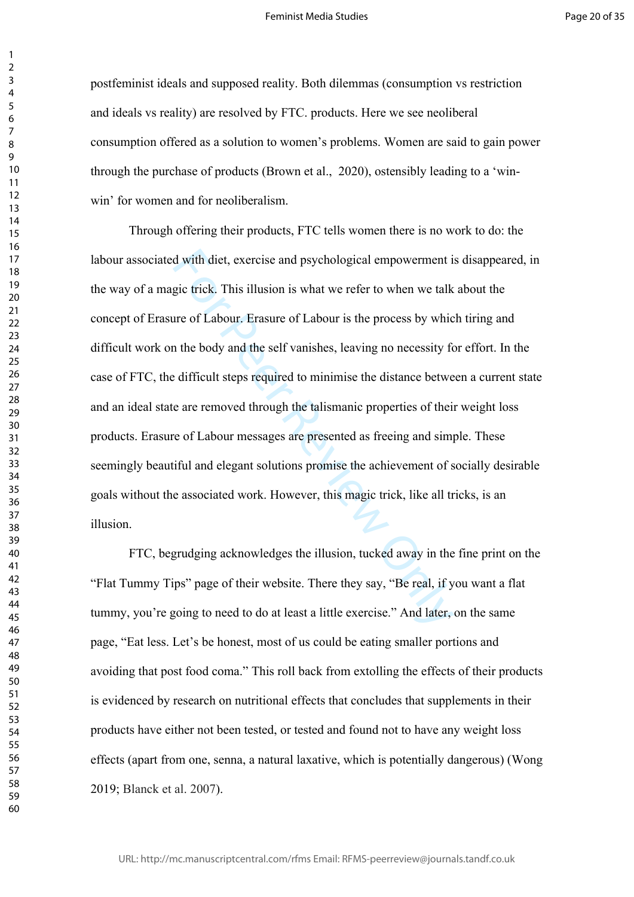postfeminist ideals and supposed reality. Both dilemmas (consumption vs restriction and ideals vs reality) are resolved by FTC. products. Here we see neoliberal consumption offered as a solution to women's problems. Women are said to gain power through the purchase of products (Brown et al., 2020), ostensibly leading to a 'winwin' for women and for neoliberalism.

d with diet, exercise and psychological empowerment i<br>gic trick. This illusion is what we refer to when we talk<br>are of Labour. Erasure of Labour is the process by whic<br>n the body and the self vanishes, leaving no necessity Through offering their products, FTC tells women there is no work to do: the labour associated with diet, exercise and psychological empowerment is disappeared, in the way of a magic trick. This illusion is what we refer to when we talk about the concept of Erasure of Labour. Erasure of Labour is the process by which tiring and difficult work on the body and the self vanishes, leaving no necessity for effort. In the case of FTC, the difficult steps required to minimise the distance between a current state and an ideal state are removed through the talismanic properties of their weight loss products. Erasure of Labour messages are presented as freeing and simple. These seemingly beautiful and elegant solutions promise the achievement of socially desirable goals without the associated work. However, this magic trick, like all tricks, is an illusion.

FTC, begrudging acknowledges the illusion, tucked away in the fine print on the "Flat Tummy Tips" page of their website. There they say, "Be real, if you want a flat tummy, you're going to need to do at least a little exercise." And later, on the same page, "Eat less. Let's be honest, most of us could be eating smaller portions and avoiding that post food coma." This roll back from extolling the effects of their products is evidenced by research on nutritional effects that concludes that supplements in their products have either not been tested, or tested and found not to have any weight loss effects (apart from one, senna, a natural laxative, which is potentially dangerous) (Wong 2019; Blanck et al. 2007).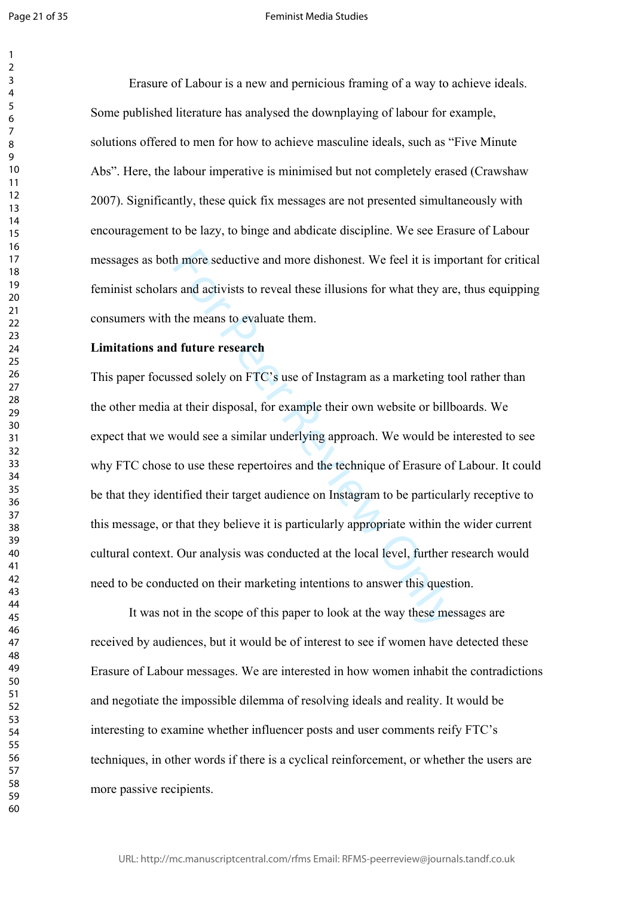$\mathbf{1}$  $\overline{2}$ 

Erasure of Labour is a new and pernicious framing of a way to achieve ideals. Some published literature has analysed the downplaying of labour for example, solutions offered to men for how to achieve masculine ideals, such as "Five Minute Abs". Here, the labour imperative is minimised but not completely erased (Crawshaw 2007). Significantly, these quick fix messages are not presented simultaneously with encouragement to be lazy, to binge and abdicate discipline. We see Erasure of Labour messages as both more seductive and more dishonest. We feel it is important for critical feminist scholars and activists to reveal these illusions for what they are, thus equipping consumers with the means to evaluate them.

# **Limitations and future research**

In more seductive and more dishonest. We feel it is imp<br>s and activists to reveal these illusions for what they are<br>the means to evaluate them.<br>**I future research**<br>**Similar their disposal**, for example their own website or This paper focussed solely on FTC's use of Instagram as a marketing tool rather than the other media at their disposal, for example their own website or billboards. We expect that we would see a similar underlying approach. We would be interested to see why FTC chose to use these repertoires and the technique of Erasure of Labour. It could be that they identified their target audience on Instagram to be particularly receptive to this message, or that they believe it is particularly appropriate within the wider current cultural context. Our analysis was conducted at the local level, further research would need to be conducted on their marketing intentions to answer this question.

It was not in the scope of this paper to look at the way these messages are received by audiences, but it would be of interest to see if women have detected these Erasure of Labour messages. We are interested in how women inhabit the contradictions and negotiate the impossible dilemma of resolving ideals and reality. It would be interesting to examine whether influencer posts and user comments reify FTC's techniques, in other words if there is a cyclical reinforcement, or whether the users are more passive recipients.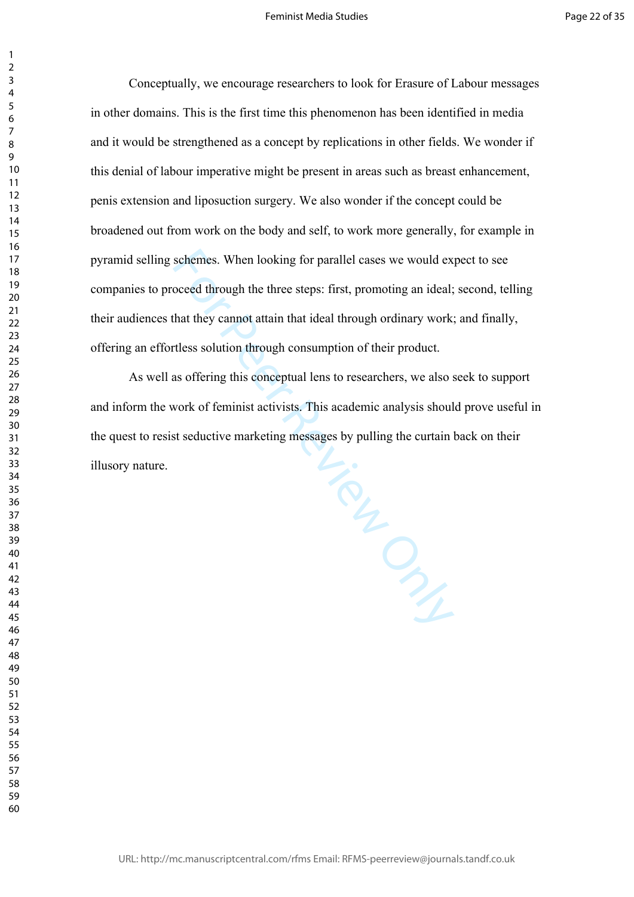Conceptually, we encourage researchers to look for Erasure of Labour messages in other domains. This is the first time this phenomenon has been identified in media and it would be strengthened as a concept by replications in other fields. We wonder if this denial of labour imperative might be present in areas such as breast enhancement, penis extension and liposuction surgery. We also wonder if the concept could be broadened out from work on the body and self, to work more generally, for example in pyramid selling schemes. When looking for parallel cases we would expect to see companies to proceed through the three steps: first, promoting an ideal; second, telling their audiences that they cannot attain that ideal through ordinary work; and finally, offering an effortless solution through consumption of their product.

From Process As well as offering this conceptual lens to researchers, we also seek to support and inform the work of feminist activists. This academic analysis should prove useful in the quest to resist seductive marketing messages by pulling the curtain back on their illusory nature.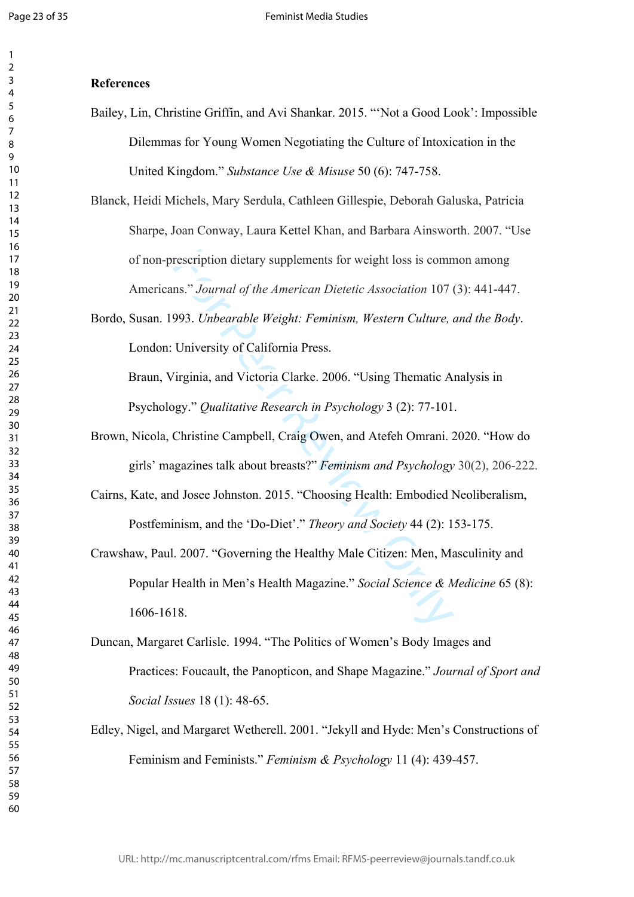#### **References**

Bailey, Lin, Christine Griffin, and Avi Shankar. 2015. "'Not a Good Look': Impossible Dilemmas for Young Women Negotiating the Culture of Intoxication in the United Kingdom." *Substance Use & Misuse* 50 (6): 747-758.

Blanck, Heidi Michels, Mary Serdula, Cathleen Gillespie, Deborah Galuska, Patricia Sharpe, Joan Conway, Laura Kettel Khan, and Barbara Ainsworth. 2007. "Use of non-prescription dietary supplements for weight loss is common among Americans." *Journal of the American Dietetic Association* 107 (3): 441-447.

Bordo, Susan. 1993. *Unbearable Weight: Feminism, Western Culture, and the Body*. London: University of California Press.

Braun, Virginia, and Victoria Clarke. 2006. "Using Thematic Analysis in Psychology." *Qualitative Research in Psychology* 3 (2): 77-101.

- Brown, Nicola, Christine Campbell, Craig Owen, and Atefeh Omrani. 2020. "How do girls' magazines talk about breasts?" *Feminism and Psychology* 30(2), 206-222.
- Cairns, Kate, and Josee Johnston. 2015. "Choosing Health: Embodied Neoliberalism, Postfeminism, and the 'Do-Diet'." *Theory and Society* 44 (2): 153-175.
- rescription dietary supplements for weight loss is commums." Journal of the American Dietetic Association 107<br>1993. Unbearable Weight: Feminism, Western Culture, University of California Press.<br>
University of California Pr Crawshaw, Paul. 2007. "Governing the Healthy Male Citizen: Men, Masculinity and Popular Health in Men's Health Magazine." *Social Science & Medicine* 65 (8): 1606-1618.
- Duncan, Margaret Carlisle. 1994. "The Politics of Women's Body Images and Practices: Foucault, the Panopticon, and Shape Magazine." *Journal of Sport and Social Issues* 18 (1): 48-65.
- Edley, Nigel, and Margaret Wetherell. 2001. "Jekyll and Hyde: Men's Constructions of Feminism and Feminists." *Feminism & Psychology* 11 (4): 439-457.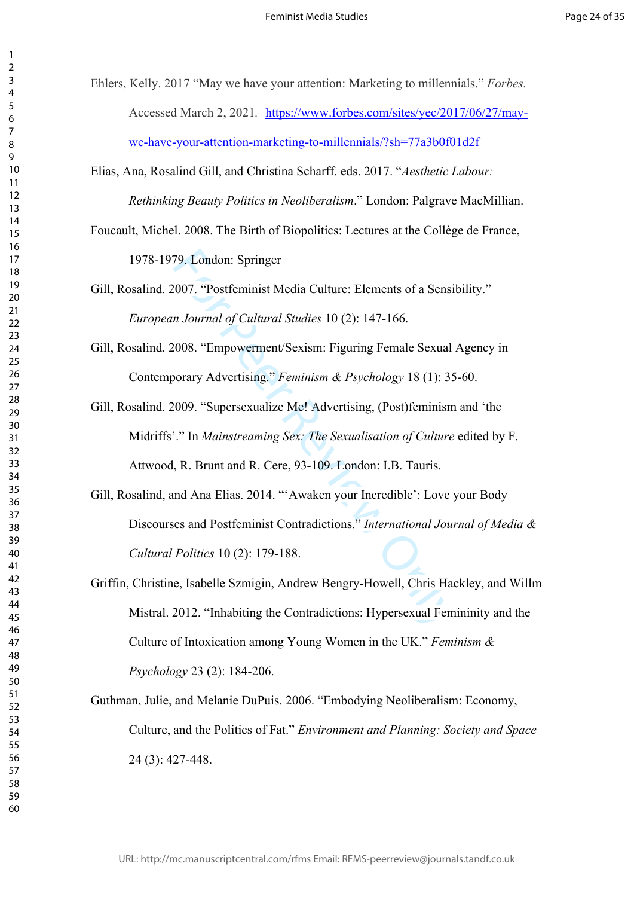Ehlers, Kelly. 2017 "May we have your attention: Marketing to millennials." *Forbes.*  Accessed March 2, 2021*.* [https://www.forbes.com/sites/yec/2017/06/27/may](https://www.forbes.com/sites/yec/2017/06/27/may-we-have-your-attention-marketing-to-millennials/?sh=77a3b0f01d2f)[we-have-your-attention-marketing-to-millennials/?sh=77a3b0f01d2f](https://www.forbes.com/sites/yec/2017/06/27/may-we-have-your-attention-marketing-to-millennials/?sh=77a3b0f01d2f)

Elias, Ana, Rosalind Gill, and Christina Scharff. eds. 2017. "*Aesthetic Labour: Rethinking Beauty Politics in Neoliberalism*." London: Palgrave MacMillian.

Foucault, Michel. 2008. The Birth of Biopolitics: Lectures at the Collège de France,

1978-1979. London: Springer

Gill, Rosalind. 2007. "Postfeminist Media Culture: Elements of a Sensibility." *European Journal of Cultural Studies* 10 (2): 147-166.

Gill, Rosalind. 2008. "Empowerment/Sexism: Figuring Female Sexual Agency in Contemporary Advertising." *Feminism & Psychology* 18 (1): 35-60.

79. London: Springer<br>
2007. "Postfeminist Media Culture: Elements of a Sensi<br>
2007. "Postfeminist Media Culture: Elements of a Sensi<br>
2008. "Empowerment/Sexism: Figuring Female Sexual<br>
2009. "Supersexualize Me! Advertising Gill, Rosalind. 2009. "Supersexualize Me! Advertising, (Post)feminism and 'the Midriffs'." In *Mainstreaming Sex: The Sexualisation of Culture* edited by F. Attwood, R. Brunt and R. Cere, 93-109. London: I.B. Tauris.

Gill, Rosalind, and Ana Elias. 2014. "'Awaken your Incredible': Love your Body Discourses and Postfeminist Contradictions." *International Journal of Media & Cultural Politics* 10 (2): 179-188.

Griffin, Christine, Isabelle Szmigin, Andrew Bengry-Howell, Chris Hackley, and Willm Mistral. 2012. "Inhabiting the Contradictions: Hypersexual Femininity and the Culture of Intoxication among Young Women in the UK." *Feminism & Psychology* 23 (2): 184-206.

Guthman, Julie, and Melanie DuPuis. 2006. "Embodying Neoliberalism: Economy, Culture, and the Politics of Fat." *Environment and Planning: Society and Space* (3): 427-448.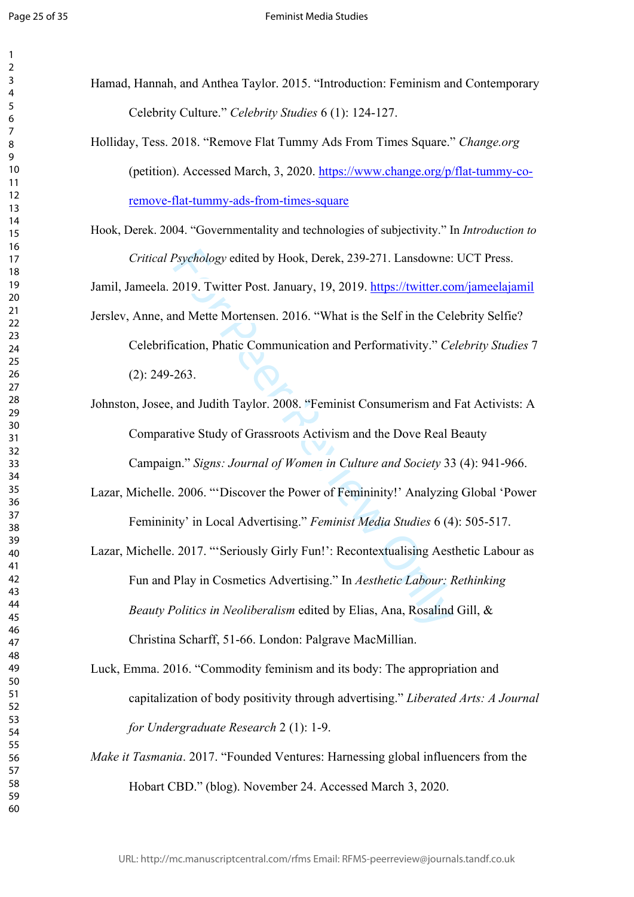$\mathbf{1}$  $\overline{2}$  $\overline{3}$  $\overline{4}$  $\overline{7}$ 

- Hamad, Hannah, and Anthea Taylor. 2015. "Introduction: Feminism and Contemporary Celebrity Culture." *Celebrity Studies* 6 (1): 124-127.
	- Holliday, Tess. 2018. "Remove Flat Tummy Ads From Times Square." *Change.org* (petition). Accessed March, 3, 2020. [https://www.change.org/p/flat-tummy-co](https://www.change.org/p/flat-tummy-co-remove-flat-tummy-ads-from-times-square)[remove-flat-tummy-ads-from-times-square](https://www.change.org/p/flat-tummy-co-remove-flat-tummy-ads-from-times-square)
- Hook, Derek. 2004. "Governmentality and technologies of subjectivity." In *Introduction to Critical Psychology* edited by Hook, Derek, 239-271. Lansdowne: UCT Press.

Jamil, Jameela. 2019. Twitter Post. January, 19, 2019.<https://twitter.com/jameelajamil>

Jerslev, Anne, and Mette Mortensen. 2016. "What is the Self in the Celebrity Selfie?

- Celebrification, Phatic Communication and Performativity." *Celebrity Studies* 7 (2): 249-263.
- Johnston, Josee, and Judith Taylor. 2008. "Feminist Consumerism and Fat Activists: A Comparative Study of Grassroots Activism and the Dove Real Beauty Campaign." *Signs: Journal of Women in Culture and Society* 33 (4): 941-966.
- Lazar, Michelle. 2006. "'Discover the Power of Femininity!' Analyzing Global 'Power Femininity' in Local Advertising." *Feminist Media Studies* 6 (4): 505-517.
- Psychology edited by Hook, Derek, 239-271. Lansdowne:<br>2019. Twitter Post. January, 19, 2019. https://twitter.com<br>and Mette Mortensen. 2016. "What is the Self in the Cel<br>cation, Phatic Communication and Performativity." Ce<br> Lazar, Michelle. 2017. "'Seriously Girly Fun!': Recontextualising Aesthetic Labour as Fun and Play in Cosmetics Advertising." In *Aesthetic Labour: Rethinking Beauty Politics in Neoliberalism* edited by Elias, Ana, Rosalind Gill, & Christina Scharff, 51-66. London: Palgrave MacMillian.
- Luck, Emma. 2016. "Commodity feminism and its body: The appropriation and capitalization of body positivity through advertising." *Liberated Arts: A Journal for Undergraduate Research* 2 (1): 1-9.
- *Make it Tasmania*. 2017. "Founded Ventures: Harnessing global influencers from the Hobart CBD." (blog). November 24. Accessed March 3, 2020.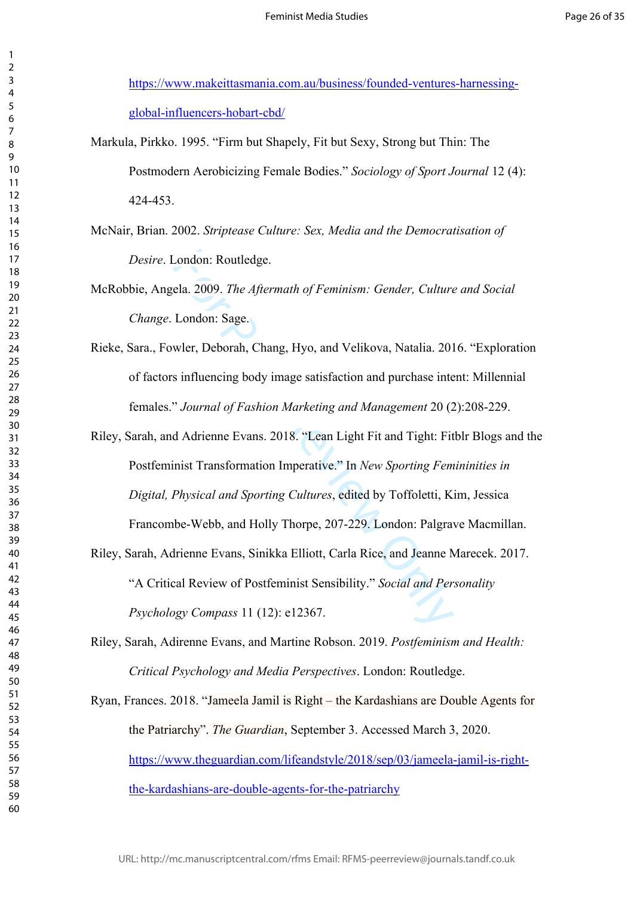[https://www.makeittasmania.com.au/business/founded-ventures-harnessing](https://www.makeittasmania.com.au/business/founded-ventures-harnessing-global-influencers-hobart-cbd/)[global-influencers-hobart-cbd/](https://www.makeittasmania.com.au/business/founded-ventures-harnessing-global-influencers-hobart-cbd/)

Markula, Pirkko. 1995. "Firm but Shapely, Fit but Sexy, Strong but Thin: The Postmodern Aerobicizing Female Bodies." *Sociology of Sport Journal* 12 (4): 424-453.

McNair, Brian. 2002. *Striptease Culture: Sex, Media and the Democratisation of Desire*. London: Routledge.

McRobbie, Angela. 2009. *The Aftermath of Feminism: Gender, Culture and Social Change*. London: Sage.

- Rieke, Sara., Fowler, Deborah, Chang, Hyo, and Velikova, Natalia. 2016. "Exploration of factors influencing body image satisfaction and purchase intent: Millennial females." *Journal of Fashion Marketing and Management* 20 (2):208-229.
- London: Routledge.<br>
ela. 2009. *The Aftermath of Feminism: Gender, Culture*<br>
London: Sage.<br>
wler, Deborah, Chang, Hyo, and Velikova, Natalia. 201<br>
is influencing body image satisfaction and purchase internation<br> *Tournal o* Riley, Sarah, and Adrienne Evans. 2018. "Lean Light Fit and Tight: Fitblr Blogs and the Postfeminist Transformation Imperative." In *New Sporting Femininities in Digital, Physical and Sporting Cultures*, edited by Toffoletti, Kim, Jessica Francombe-Webb, and Holly Thorpe, 207-229. London: Palgrave Macmillan.
- Riley, Sarah, Adrienne Evans, Sinikka Elliott, Carla Rice, and Jeanne Marecek. 2017. "A Critical Review of Postfeminist Sensibility." *Social and Personality Psychology Compass* 11 (12): e12367.
- Riley, Sarah, Adirenne Evans, and Martine Robson. 2019. *Postfeminism and Health: Critical Psychology and Media Perspectives*. London: Routledge.

Ryan, Frances. 2018. "Jameela Jamil is Right – the Kardashians are Double Agents for the Patriarchy". *The Guardian*, September 3. Accessed March 3, 2020. [https://www.theguardian.com/lifeandstyle/2018/sep/03/jameela-jamil-is-right](https://www.theguardian.com/lifeandstyle/2018/sep/03/jameela-jamil-is-right-the-kardashians-are-double-agents-for-the-patriarchy)[the-kardashians-are-double-agents-for-the-patriarchy](https://www.theguardian.com/lifeandstyle/2018/sep/03/jameela-jamil-is-right-the-kardashians-are-double-agents-for-the-patriarchy)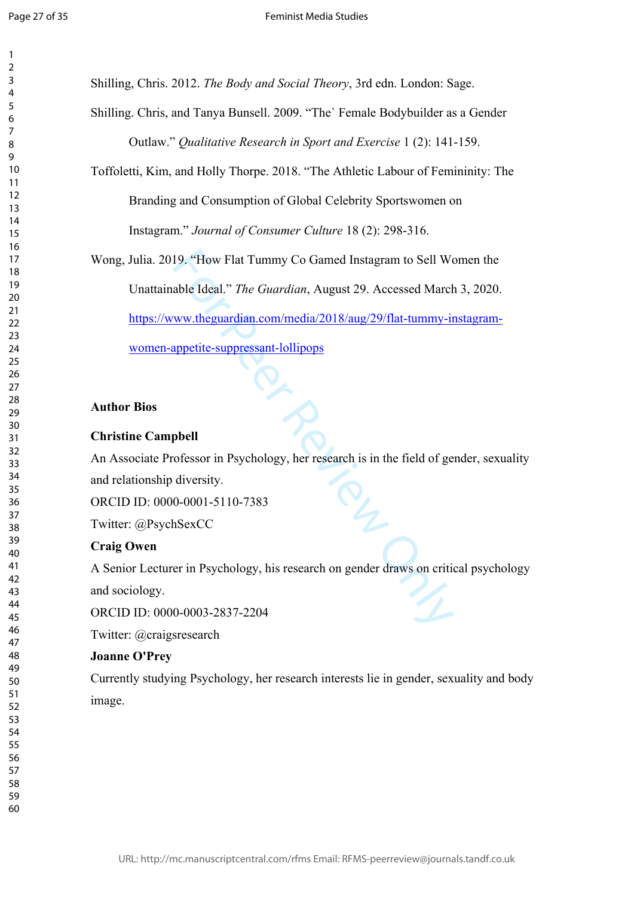$\mathbf{1}$  $\overline{2}$  $\overline{3}$  $\overline{4}$  $\overline{7}$ 

Shilling, Chris. 2012. *The Body and Social Theory*, 3rd edn. London: Sage.

Shilling. Chris, and Tanya Bunsell. 2009. "The` Female Bodybuilder as a Gender Outlaw." *Qualitative Research in Sport and Exercise* 1 (2): 141-159.

Toffoletti, Kim, and Holly Thorpe. 2018. "The Athletic Labour of Femininity: The

Branding and Consumption of Global Celebrity Sportswomen on

Instagram." *Journal of Consumer Culture* 18 (2): 298-316.

19. "How Flat Tummy Co Gamed Instagram to Sell We<br>able Ideal." *The Guardian*, August 29. Accessed March<br>ww.theguardian.com/media/2018/aug/29/flat-tummy-in<br>appetite-suppressant-lollipops<br>phell<br>ofessor in Psychology, her re Wong, Julia. 2019. "How Flat Tummy Co Gamed Instagram to Sell Women the Unattainable Ideal." *The Guardian*, August 29. Accessed March 3, 2020. [https://www.theguardian.com/media/2018/aug/29/flat-tummy-instagram](https://www.theguardian.com/media/2018/aug/29/flat-tummy-instagram-women-appetite-suppressant-lollipops)[women-appetite-suppressant-lollipops](https://www.theguardian.com/media/2018/aug/29/flat-tummy-instagram-women-appetite-suppressant-lollipops)

# **Author Bios**

# **Christine Campbell**

An Associate Professor in Psychology, her research is in the field of gender, sexuality and relationship diversity.

ORCID ID: 0000-0001-5110-7383

Twitter: @PsychSexCC

### **Craig Owen**

A Senior Lecturer in Psychology, his research on gender draws on critical psychology and sociology.

ORCID ID: 0000-0003-2837-2204

Twitter: @craigsresearch

### **Joanne O'Prey**

Currently studying Psychology, her research interests lie in gender, sexuality and body image.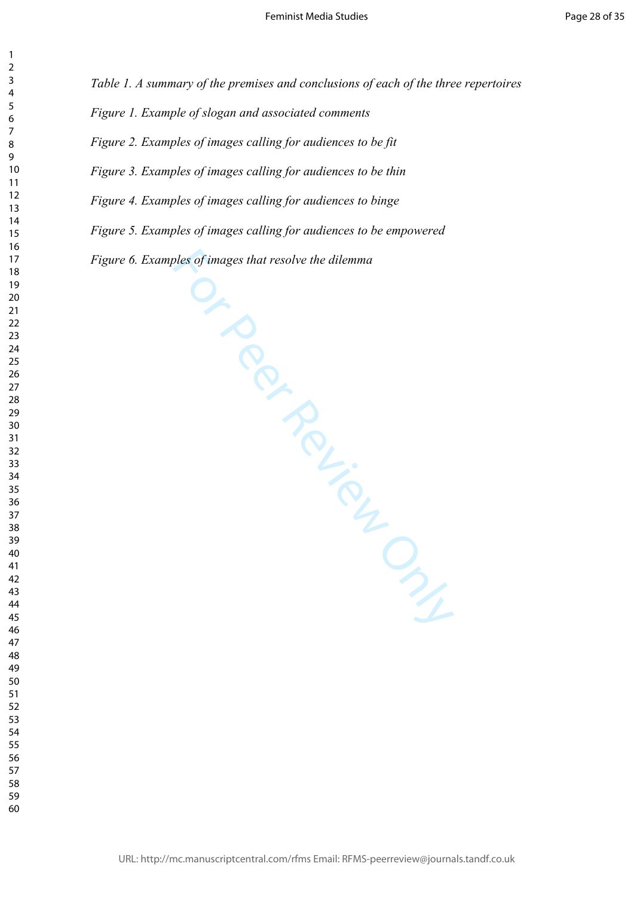*Table 1. A summary of the premises and conclusions of each of the three repertoires*

*Figure 1. Example of slogan and associated comments*

*Figure 2. Examples of images calling for audiences to be fit*

*Figure 3. Examples of images calling for audiences to be thin*

*Figure 4. Examples of images calling for audiences to binge* 

*Figure 5. Examples of images calling for audiences to be empowered*

Figure 6. Examples of images that resolve the dilemma<br>
and the dilemma<br>
and the difference of the difference of the difference of the difference of the difference of the difference of the difference of the difference of th

 $\mathbf{1}$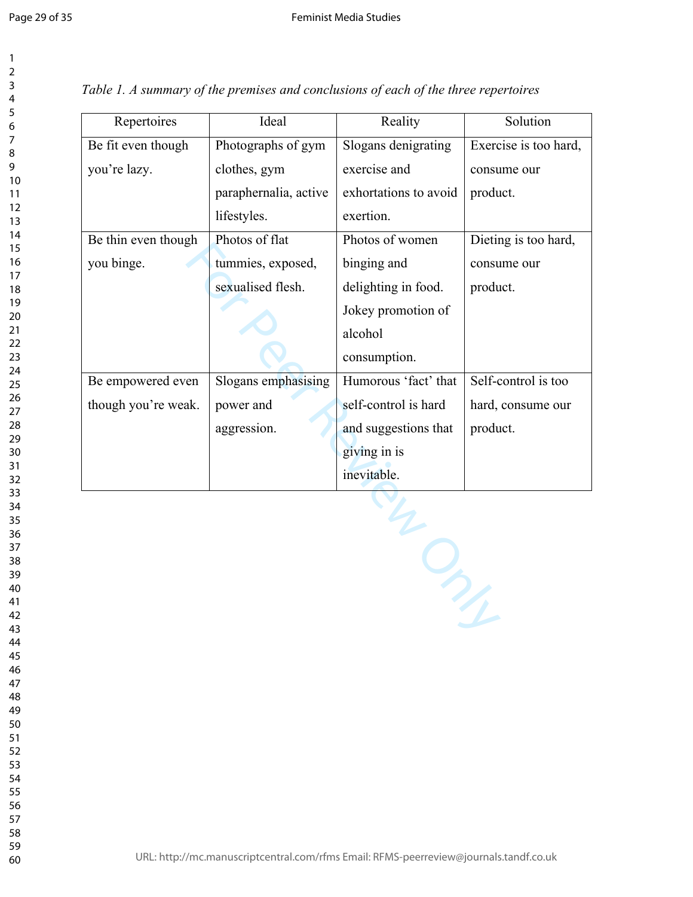| Repertoires         | Ideal                 | Reality               | Solution              |  |
|---------------------|-----------------------|-----------------------|-----------------------|--|
| Be fit even though  | Photographs of gym    | Slogans denigrating   | Exercise is too hard, |  |
| you're lazy.        | clothes, gym          | exercise and          | consume our           |  |
|                     | paraphernalia, active | exhortations to avoid | product.              |  |
|                     | lifestyles.           | exertion.             |                       |  |
| Be thin even though | Photos of flat        | Photos of women       | Dieting is too hard,  |  |
| you binge.          | tummies, exposed,     | binging and           | consume our           |  |
|                     | sexualised flesh.     | delighting in food.   | product.              |  |
|                     |                       | Jokey promotion of    |                       |  |
|                     |                       | alcohol               |                       |  |
|                     |                       | consumption.          |                       |  |
| Be empowered even   | Slogans emphasising   | Humorous 'fact' that  | Self-control is too   |  |
| though you're weak. | power and             | self-control is hard  | hard, consume our     |  |
|                     | aggression.           | and suggestions that  | product.              |  |
|                     |                       | giving in is          |                       |  |
|                     |                       | inevitable.           |                       |  |
|                     |                       |                       |                       |  |

*Table 1. A summary of the premises and conclusions of each of the three repertoires*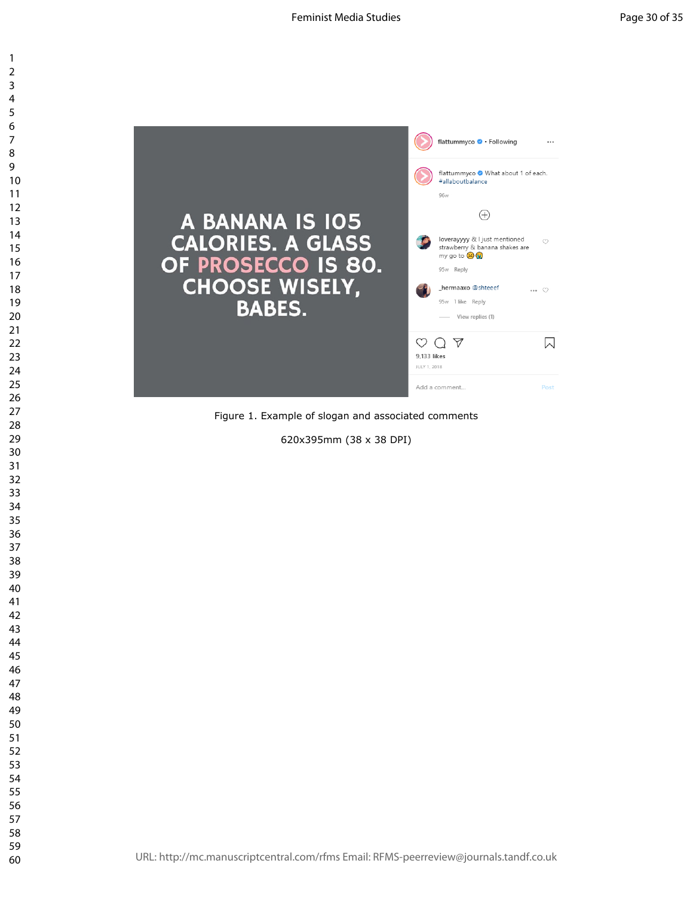

Figure 1. Example of slogan and associated comments

620x395mm (38 x 38 DPI)

 $\mathbf{1}$  $\overline{2}$  $\overline{4}$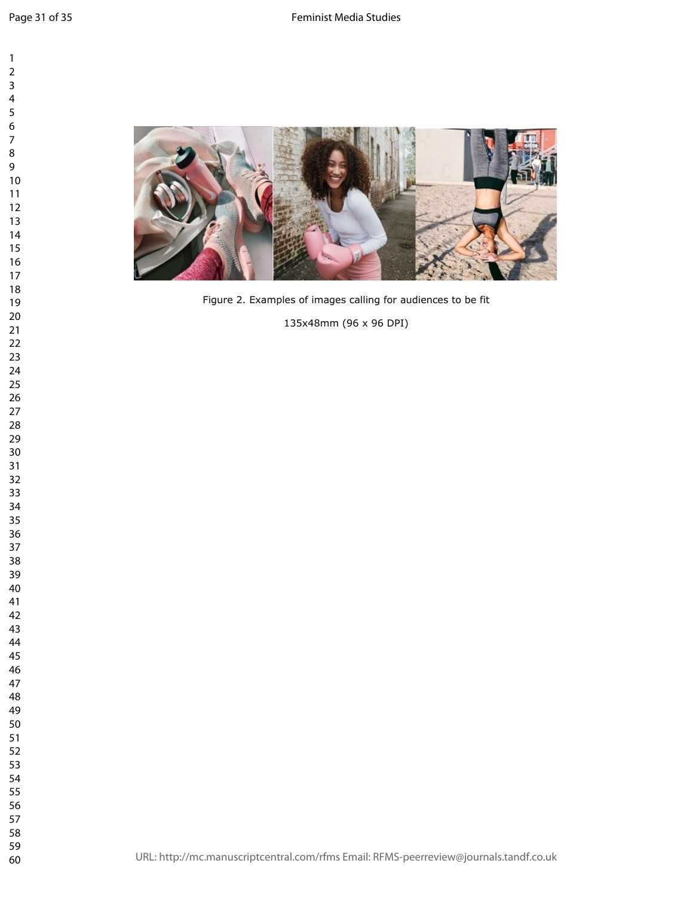

135x48mm (96 x 96 DPI)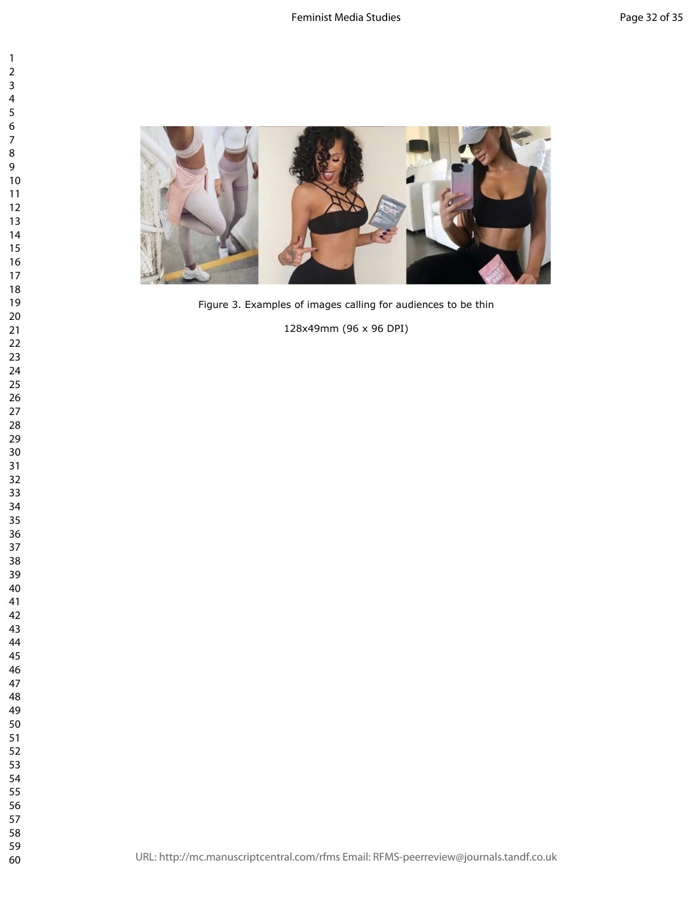

 $\mathbf{1}$  $\overline{2}$  $\mathsf{3}$  $\overline{7}$  $\bf 8$ 

128x49mm (96 x 96 DPI)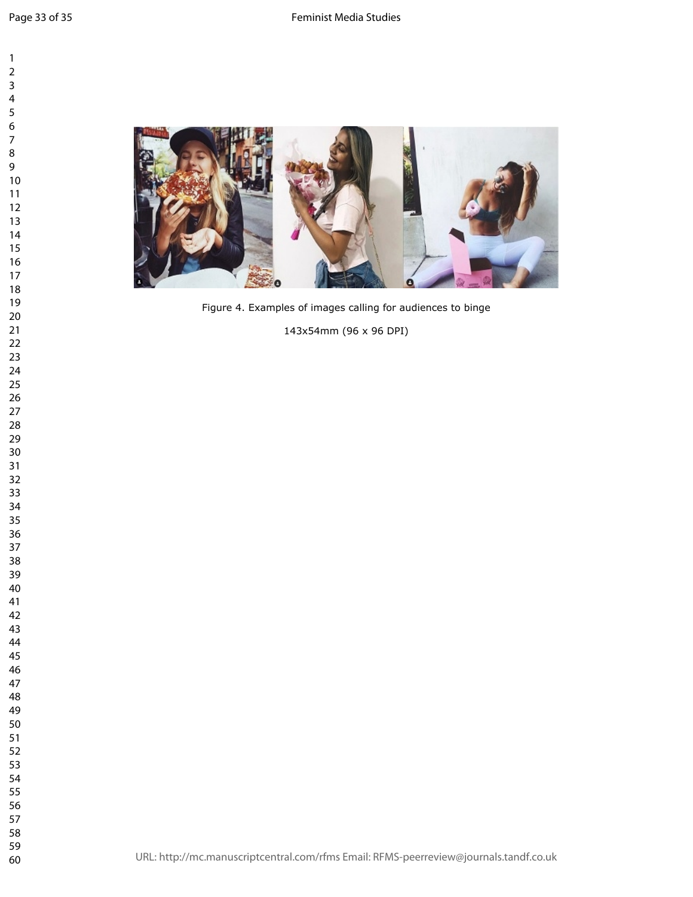$\mathbf{1}$  $\overline{2}$ 



143x54mm (96 x 96 DPI)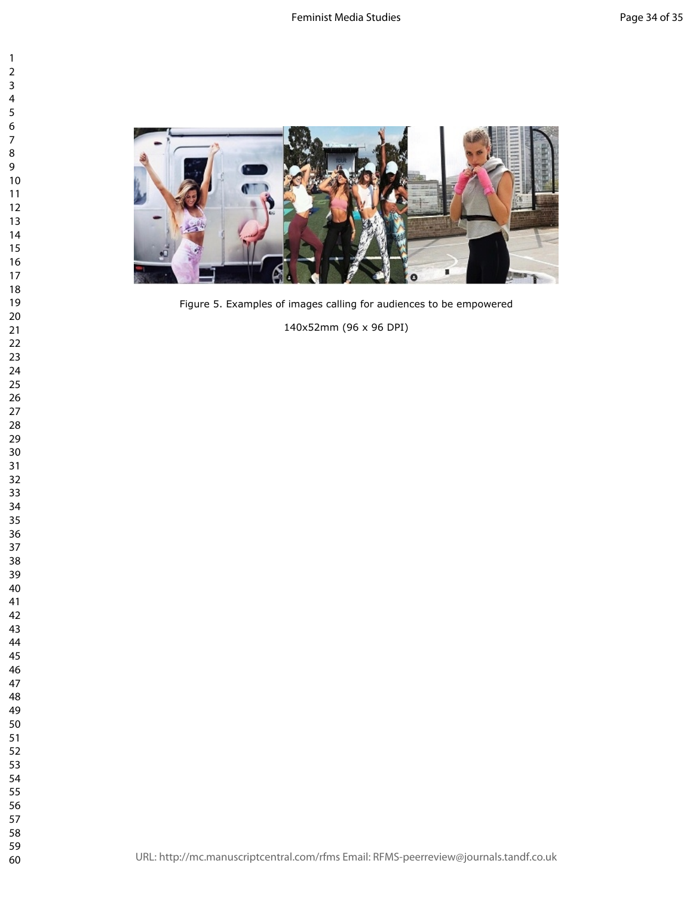

 $\mathbf{1}$  $\overline{2}$  $\overline{7}$  $\,8\,$ 

Figure 5. Examples of images calling for audiences to be empowered

140x52mm (96 x 96 DPI)